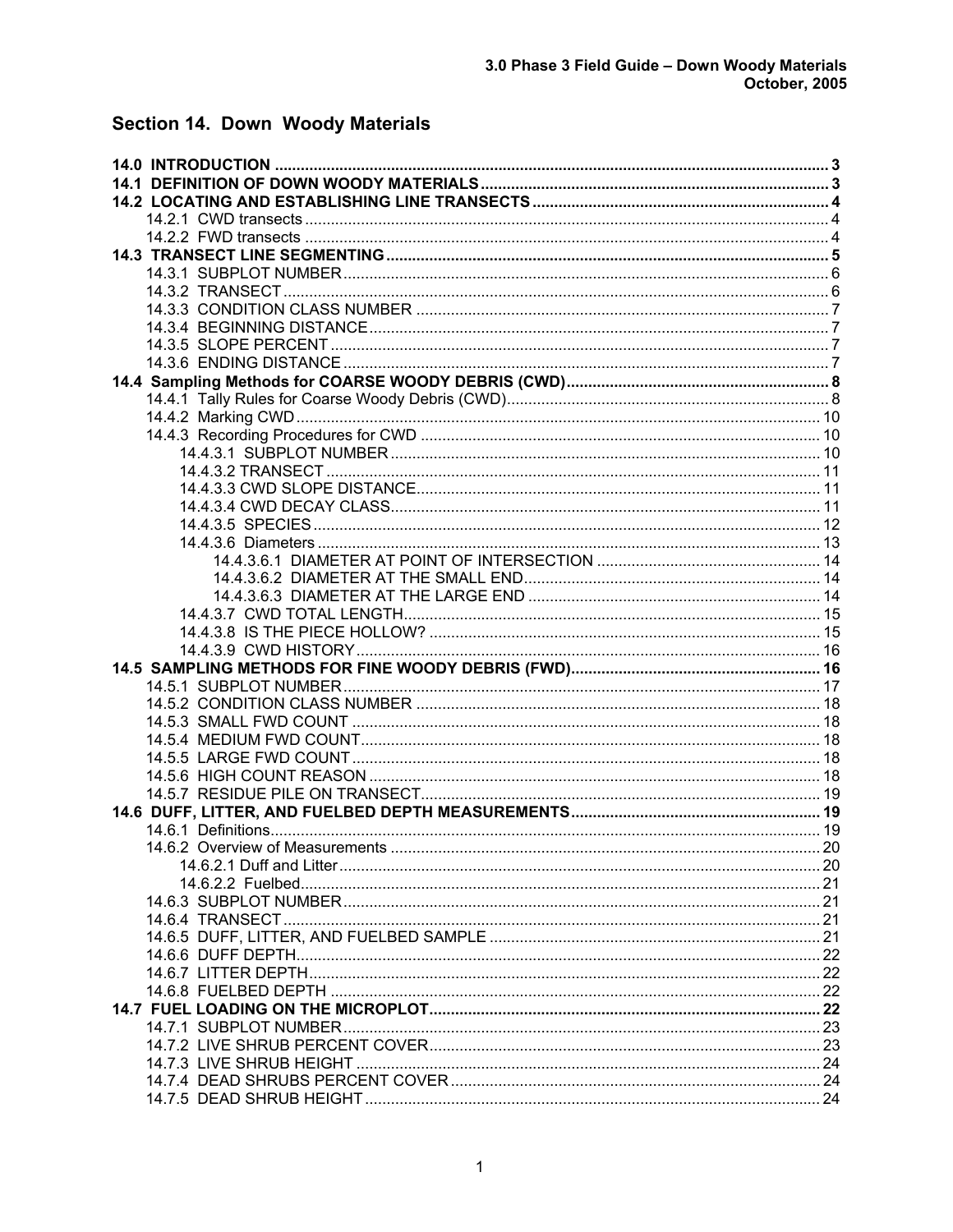# Section 14. Down Woody Materials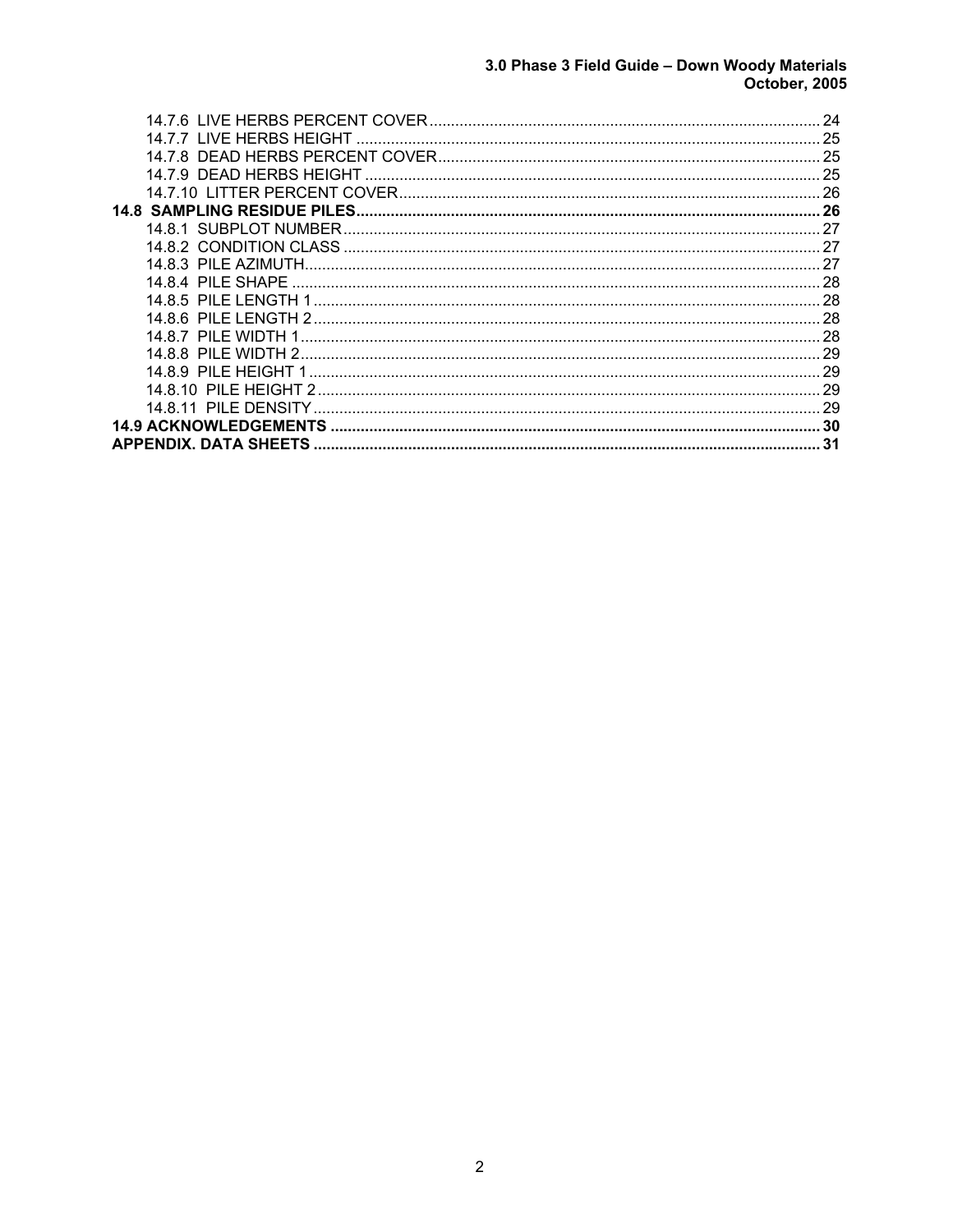# 3.0 Phase 3 Field Guide - Down Woody Materials<br>October, 2005

| 14.7.7 LIVE HERBS HEIGHT     | 25 |
|------------------------------|----|
|                              | 25 |
| 14.7.9 DEAD HERBS HEIGHT     | 25 |
|                              | 26 |
|                              | 26 |
|                              |    |
|                              | 27 |
|                              |    |
| 14.8.4 PILE SHAPE            | 28 |
| 14.8.5 PILE LENGTH 1         | 28 |
|                              | 28 |
| 14.8.7 PILE WIDTH 1          | 28 |
| 14.8.8 PILE WIDTH 2          | 29 |
| 14 8 9 PII F HFIGHT 1        | 29 |
| 14 8 10 PII F HFIGHT 2       | 29 |
| 14.8.11 PILE DENSITY         | 29 |
| <b>14.9 ACKNOWLEDGEMENTS</b> | 30 |
| <b>APPENDIX. DATA SHEETS</b> | 31 |
|                              |    |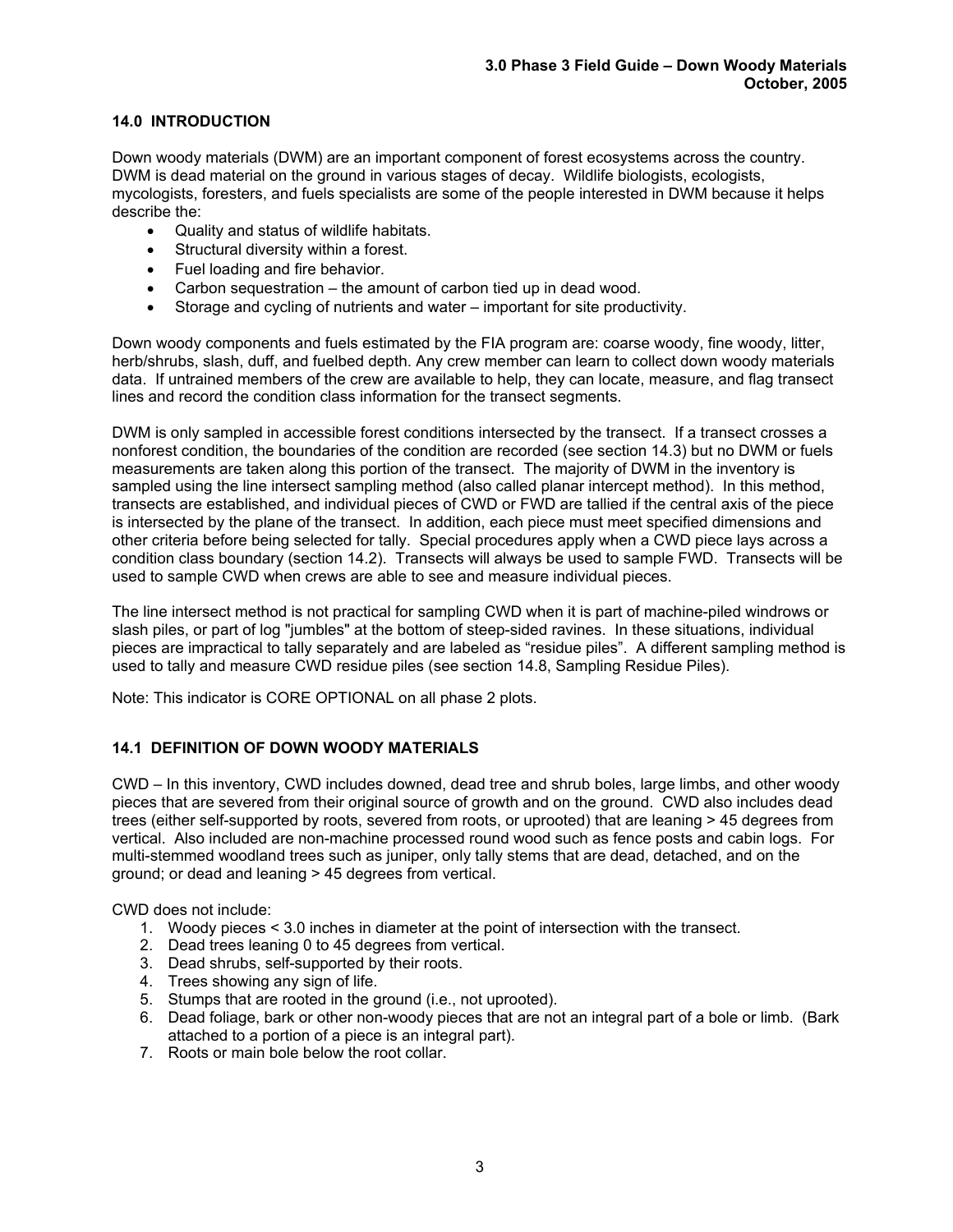# **14.0 INTRODUCTION**

Down woody materials (DWM) are an important component of forest ecosystems across the country. DWM is dead material on the ground in various stages of decay. Wildlife biologists, ecologists, mycologists, foresters, and fuels specialists are some of the people interested in DWM because it helps describe the:

- Quality and status of wildlife habitats.
- Structural diversity within a forest.
- Fuel loading and fire behavior.
- Carbon sequestration the amount of carbon tied up in dead wood.
- Storage and cycling of nutrients and water important for site productivity.

Down woody components and fuels estimated by the FIA program are: coarse woody, fine woody, litter, herb/shrubs, slash, duff, and fuelbed depth. Any crew member can learn to collect down woody materials data. If untrained members of the crew are available to help, they can locate, measure, and flag transect lines and record the condition class information for the transect segments.

DWM is only sampled in accessible forest conditions intersected by the transect. If a transect crosses a nonforest condition, the boundaries of the condition are recorded (see section 14.3) but no DWM or fuels measurements are taken along this portion of the transect. The majority of DWM in the inventory is sampled using the line intersect sampling method (also called planar intercept method). In this method, transects are established, and individual pieces of CWD or FWD are tallied if the central axis of the piece is intersected by the plane of the transect. In addition, each piece must meet specified dimensions and other criteria before being selected for tally. Special procedures apply when a CWD piece lays across a condition class boundary (section 14.2). Transects will always be used to sample FWD. Transects will be used to sample CWD when crews are able to see and measure individual pieces.

The line intersect method is not practical for sampling CWD when it is part of machine-piled windrows or slash piles, or part of log "jumbles" at the bottom of steep-sided ravines. In these situations, individual pieces are impractical to tally separately and are labeled as "residue piles". A different sampling method is used to tally and measure CWD residue piles (see section 14.8, Sampling Residue Piles).

Note: This indicator is CORE OPTIONAL on all phase 2 plots.

# **14.1 DEFINITION OF DOWN WOODY MATERIALS**

CWD – In this inventory, CWD includes downed, dead tree and shrub boles, large limbs, and other woody pieces that are severed from their original source of growth and on the ground. CWD also includes dead trees (either self-supported by roots, severed from roots, or uprooted) that are leaning > 45 degrees from vertical. Also included are non-machine processed round wood such as fence posts and cabin logs. For multi-stemmed woodland trees such as juniper, only tally stems that are dead, detached, and on the ground; or dead and leaning > 45 degrees from vertical.

CWD does not include:

- 1. Woody pieces < 3.0 inches in diameter at the point of intersection with the transect.
- 2. Dead trees leaning 0 to 45 degrees from vertical.
- 3. Dead shrubs, self-supported by their roots.
- 4. Trees showing any sign of life.
- 5. Stumps that are rooted in the ground (i.e., not uprooted).
- 6. Dead foliage, bark or other non-woody pieces that are not an integral part of a bole or limb. (Bark attached to a portion of a piece is an integral part).
- 7. Roots or main bole below the root collar.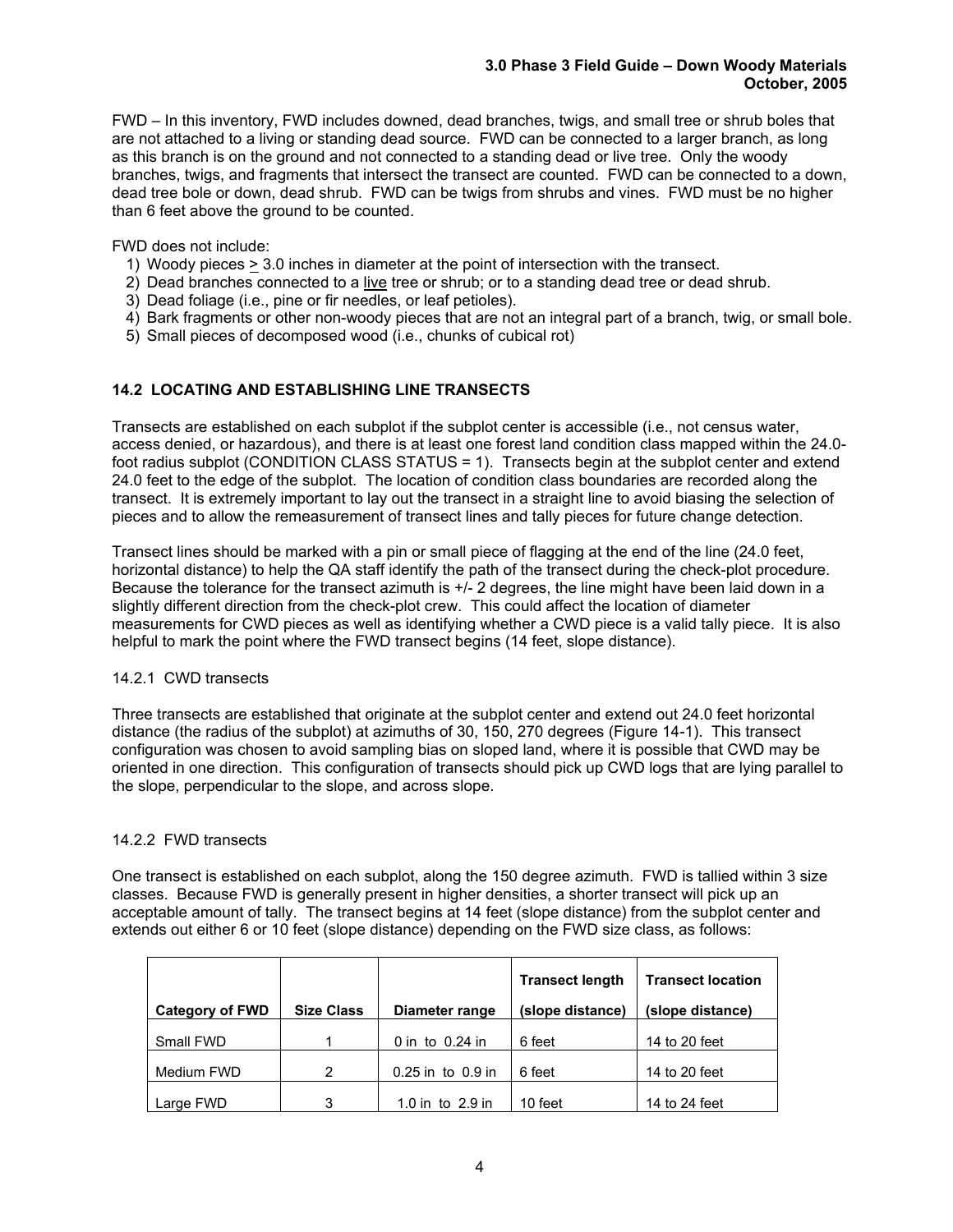FWD – In this inventory, FWD includes downed, dead branches, twigs, and small tree or shrub boles that are not attached to a living or standing dead source. FWD can be connected to a larger branch, as long as this branch is on the ground and not connected to a standing dead or live tree. Only the woody branches, twigs, and fragments that intersect the transect are counted. FWD can be connected to a down, dead tree bole or down, dead shrub. FWD can be twigs from shrubs and vines. FWD must be no higher than 6 feet above the ground to be counted.

## FWD does not include:

- 1) Woody pieces  $\geq 3.0$  inches in diameter at the point of intersection with the transect.
- 2) Dead branches connected to a live tree or shrub; or to a standing dead tree or dead shrub.
- 3) Dead foliage (i.e., pine or fir needles, or leaf petioles).
- 4) Bark fragments or other non-woody pieces that are not an integral part of a branch, twig, or small bole.
- 5) Small pieces of decomposed wood (i.e., chunks of cubical rot)

# **14.2 LOCATING AND ESTABLISHING LINE TRANSECTS**

Transects are established on each subplot if the subplot center is accessible (i.e., not census water, access denied, or hazardous), and there is at least one forest land condition class mapped within the 24.0 foot radius subplot (CONDITION CLASS STATUS = 1). Transects begin at the subplot center and extend 24.0 feet to the edge of the subplot. The location of condition class boundaries are recorded along the transect. It is extremely important to lay out the transect in a straight line to avoid biasing the selection of pieces and to allow the remeasurement of transect lines and tally pieces for future change detection.

Transect lines should be marked with a pin or small piece of flagging at the end of the line (24.0 feet, horizontal distance) to help the QA staff identify the path of the transect during the check-plot procedure. Because the tolerance for the transect azimuth is  $+/$ - 2 degrees, the line might have been laid down in a slightly different direction from the check-plot crew. This could affect the location of diameter measurements for CWD pieces as well as identifying whether a CWD piece is a valid tally piece. It is also helpful to mark the point where the FWD transect begins (14 feet, slope distance).

#### 14.2.1 CWD transects

Three transects are established that originate at the subplot center and extend out 24.0 feet horizontal distance (the radius of the subplot) at azimuths of 30, 150, 270 degrees (Figure 14-1). This transect configuration was chosen to avoid sampling bias on sloped land, where it is possible that CWD may be oriented in one direction. This configuration of transects should pick up CWD logs that are lying parallel to the slope, perpendicular to the slope, and across slope.

#### 14.2.2 FWD transects

One transect is established on each subplot, along the 150 degree azimuth. FWD is tallied within 3 size classes. Because FWD is generally present in higher densities, a shorter transect will pick up an acceptable amount of tally. The transect begins at 14 feet (slope distance) from the subplot center and extends out either 6 or 10 feet (slope distance) depending on the FWD size class, as follows:

|                        |                   |                       | <b>Transect length</b> | <b>Transect location</b> |
|------------------------|-------------------|-----------------------|------------------------|--------------------------|
| <b>Category of FWD</b> | <b>Size Class</b> | Diameter range        | (slope distance)       | (slope distance)         |
| Small FWD              |                   | 0 in to $0.24$ in     | 6 feet                 | 14 to 20 feet            |
| Medium FWD             | 2                 | $0.25$ in to $0.9$ in | 6 feet                 | 14 to 20 feet            |
| Large FWD              | 3                 | 1.0 in to $2.9$ in    | 10 feet                | 14 to 24 feet            |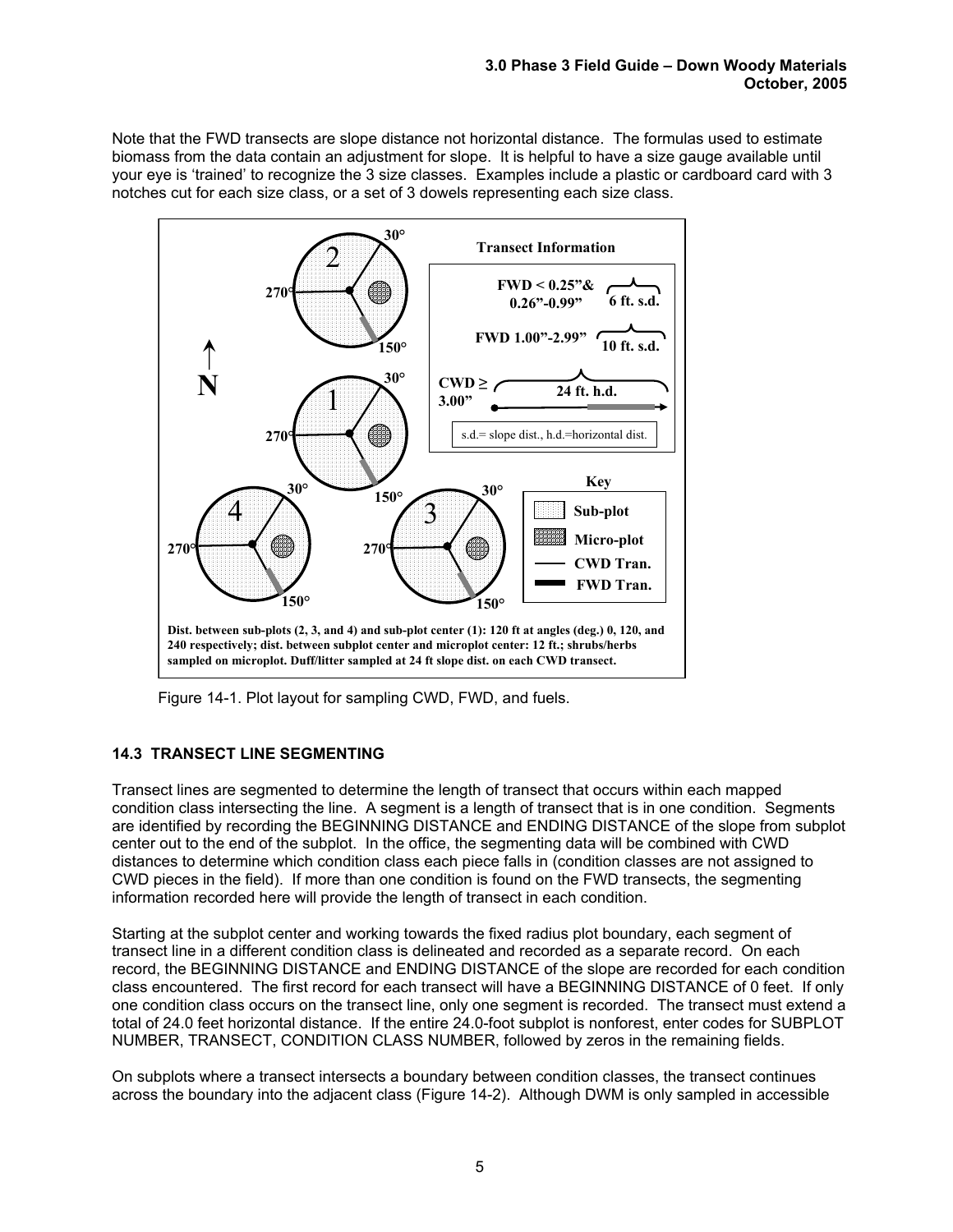Note that the FWD transects are slope distance not horizontal distance. The formulas used to estimate biomass from the data contain an adjustment for slope. It is helpful to have a size gauge available until your eye is 'trained' to recognize the 3 size classes. Examples include a plastic or cardboard card with 3 notches cut for each size class, or a set of 3 dowels representing each size class.



Figure 14-1. Plot layout for sampling CWD, FWD, and fuels.

# **14.3 TRANSECT LINE SEGMENTING**

Transect lines are segmented to determine the length of transect that occurs within each mapped condition class intersecting the line. A segment is a length of transect that is in one condition. Segments are identified by recording the BEGINNING DISTANCE and ENDING DISTANCE of the slope from subplot center out to the end of the subplot. In the office, the segmenting data will be combined with CWD distances to determine which condition class each piece falls in (condition classes are not assigned to CWD pieces in the field). If more than one condition is found on the FWD transects, the segmenting information recorded here will provide the length of transect in each condition.

Starting at the subplot center and working towards the fixed radius plot boundary, each segment of transect line in a different condition class is delineated and recorded as a separate record. On each record, the BEGINNING DISTANCE and ENDING DISTANCE of the slope are recorded for each condition class encountered. The first record for each transect will have a BEGINNING DISTANCE of 0 feet. If only one condition class occurs on the transect line, only one segment is recorded. The transect must extend a total of 24.0 feet horizontal distance. If the entire 24.0-foot subplot is nonforest, enter codes for SUBPLOT NUMBER, TRANSECT, CONDITION CLASS NUMBER, followed by zeros in the remaining fields.

On subplots where a transect intersects a boundary between condition classes, the transect continues across the boundary into the adjacent class (Figure 14-2). Although DWM is only sampled in accessible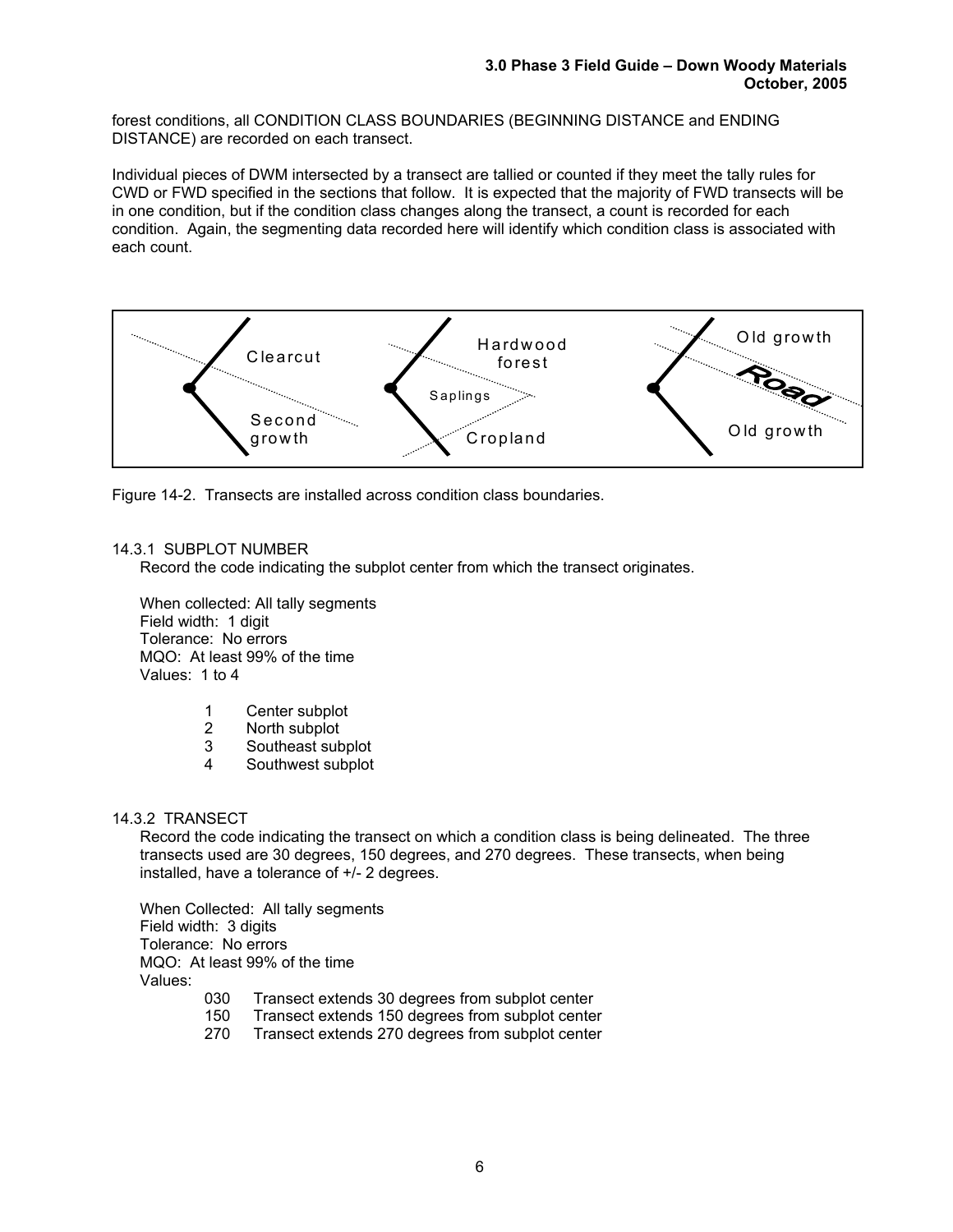forest conditions, all CONDITION CLASS BOUNDARIES (BEGINNING DISTANCE and ENDING DISTANCE) are recorded on each transect.

Individual pieces of DWM intersected by a transect are tallied or counted if they meet the tally rules for CWD or FWD specified in the sections that follow. It is expected that the majority of FWD transects will be in one condition, but if the condition class changes along the transect, a count is recorded for each condition. Again, the segmenting data recorded here will identify which condition class is associated with each count.



Figure 14-2. Transects are installed across condition class boundaries.

# 14.3.1 SUBPLOT NUMBER

Record the code indicating the subplot center from which the transect originates.

When collected: All tally segments Field width: 1 digit Tolerance: No errors MQO: At least 99% of the time Values: 1 to 4

- 1 Center subplot
- 2 North subplot
- 3 Southeast subplot
- 4 Southwest subplot

#### 14.3.2 TRANSECT

Record the code indicating the transect on which a condition class is being delineated. The three transects used are 30 degrees, 150 degrees, and 270 degrees. These transects, when being installed, have a tolerance of +/- 2 degrees.

When Collected: All tally segments Field width: 3 digits Tolerance: No errors MQO: At least 99% of the time Values:

- 030 Transect extends 30 degrees from subplot center
- 150 Transect extends 150 degrees from subplot center
- 270 Transect extends 270 degrees from subplot center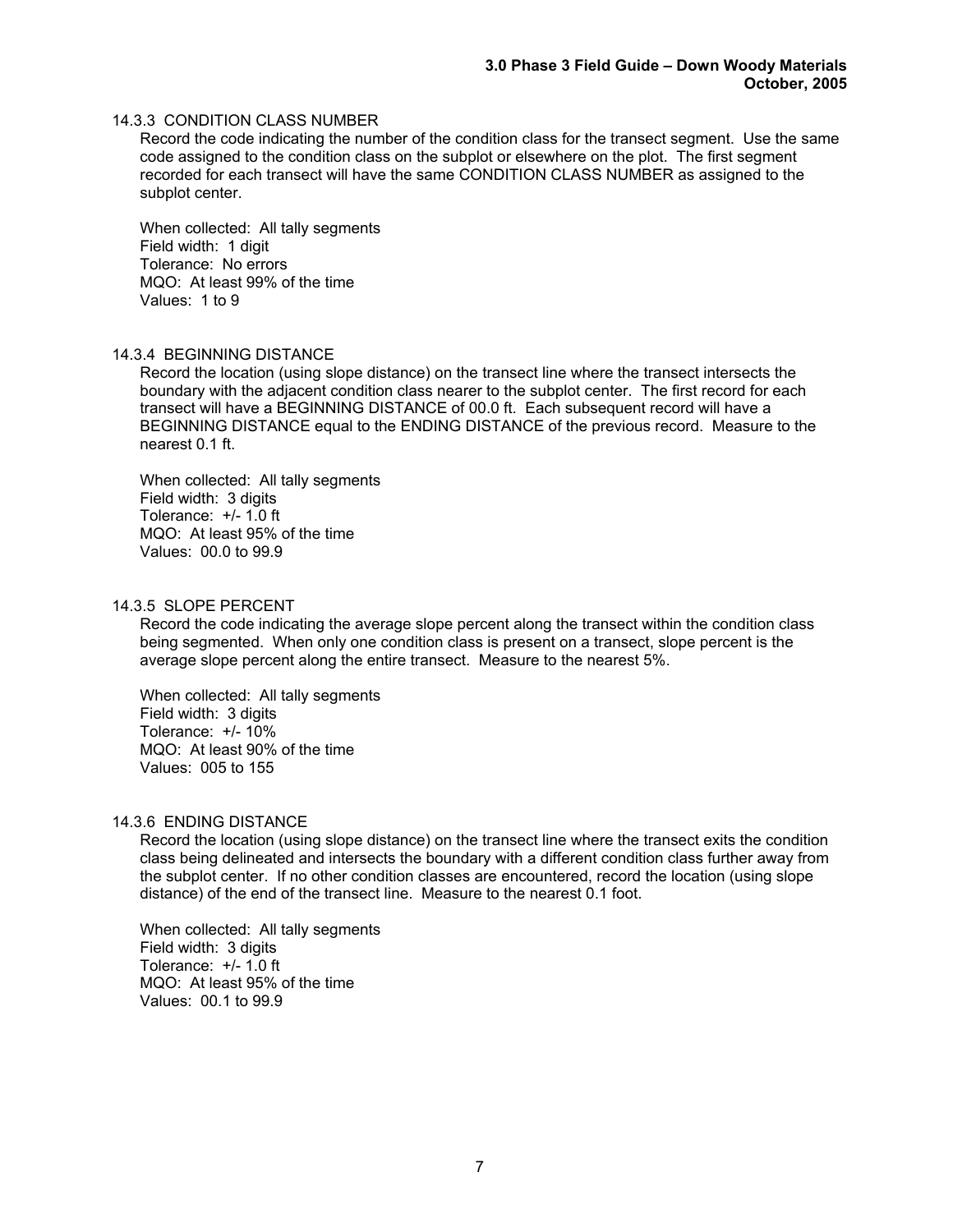## 14.3.3 CONDITION CLASS NUMBER

Record the code indicating the number of the condition class for the transect segment. Use the same code assigned to the condition class on the subplot or elsewhere on the plot. The first segment recorded for each transect will have the same CONDITION CLASS NUMBER as assigned to the subplot center.

When collected: All tally segments Field width: 1 digit Tolerance: No errors MQO: At least 99% of the time Values: 1 to 9

#### 14.3.4 BEGINNING DISTANCE

Record the location (using slope distance) on the transect line where the transect intersects the boundary with the adjacent condition class nearer to the subplot center. The first record for each transect will have a BEGINNING DISTANCE of 00.0 ft. Each subsequent record will have a BEGINNING DISTANCE equal to the ENDING DISTANCE of the previous record. Measure to the nearest 0.1 ft.

When collected: All tally segments Field width: 3 digits Tolerance: +/- 1.0 ft MQO: At least 95% of the time Values: 00.0 to 99.9

#### 14.3.5 SLOPE PERCENT

Record the code indicating the average slope percent along the transect within the condition class being segmented. When only one condition class is present on a transect, slope percent is the average slope percent along the entire transect. Measure to the nearest 5%.

When collected: All tally segments Field width: 3 digits Tolerance: +/- 10% MQO: At least 90% of the time Values: 005 to 155

#### 14.3.6 ENDING DISTANCE

Record the location (using slope distance) on the transect line where the transect exits the condition class being delineated and intersects the boundary with a different condition class further away from the subplot center. If no other condition classes are encountered, record the location (using slope distance) of the end of the transect line. Measure to the nearest 0.1 foot.

When collected: All tally segments Field width: 3 digits Tolerance: +/- 1.0 ft MQO: At least 95% of the time Values: 00.1 to 99.9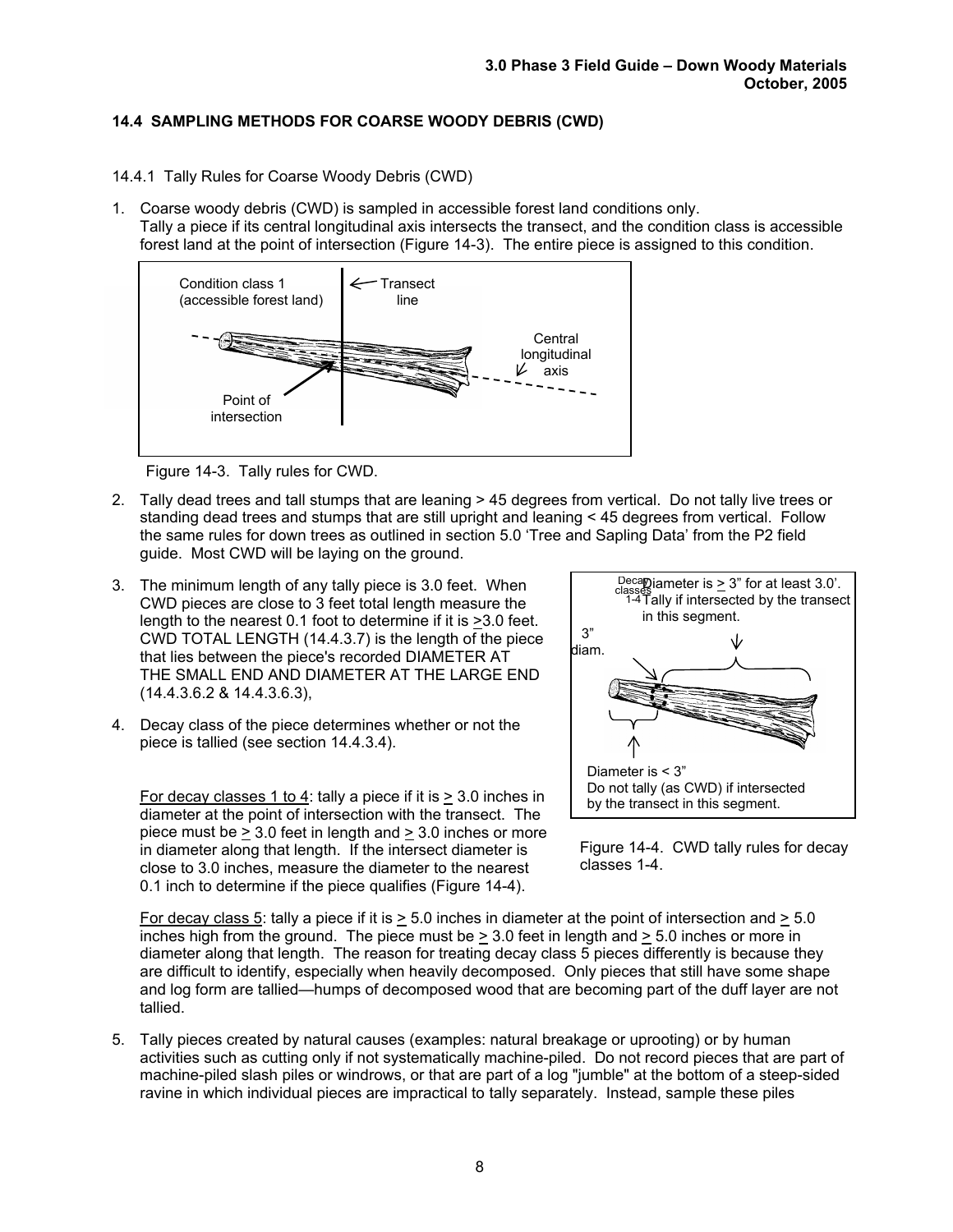# **14.4 SAMPLING METHODS FOR COARSE WOODY DEBRIS (CWD)**

- 14.4.1 Tally Rules for Coarse Woody Debris (CWD)
- 1. Coarse woody debris (CWD) is sampled in accessible forest land conditions only. Tally a piece if its central longitudinal axis intersects the transect, and the condition class is accessible forest land at the point of intersection (Figure 14-3). The entire piece is assigned to this condition.



Figure 14-3. Tally rules for CWD.

- 2. Tally dead trees and tall stumps that are leaning > 45 degrees from vertical. Do not tally live trees or standing dead trees and stumps that are still upright and leaning < 45 degrees from vertical. Follow the same rules for down trees as outlined in section 5.0 'Tree and Sapling Data' from the P2 field guide. Most CWD will be laying on the ground.
- 3. The minimum length of any tally piece is 3.0 feet. When CWD pieces are close to 3 feet total length measure the length to the nearest 0.1 foot to determine if it is >3.0 feet. CWD TOTAL LENGTH (14.4.3.7) is the length of the piece that lies between the piece's recorded DIAMETER AT THE SMALL END AND DIAMETER AT THE LARGE END (14.4.3.6.2 & 14.4.3.6.3),
- 4. Decay class of the piece determines whether or not the piece is tallied (see section 14.4.3.4).

For decay classes 1 to 4: tally a piece if it is > 3.0 inches in diameter at the point of intersection with the transect. The piece must be  $\geq 3.0$  feet in length and  $> 3.0$  inches or more in diameter along that length. If the intersect diameter is close to 3.0 inches, measure the diameter to the nearest 0.1 inch to determine if the piece qualifies (Figure 14-4).





For decay class 5: tally a piece if it is  $> 5.0$  inches in diameter at the point of intersection and  $> 5.0$ inches high from the ground. The piece must be  $> 3.0$  feet in length and  $> 5.0$  inches or more in diameter along that length. The reason for treating decay class 5 pieces differently is because they are difficult to identify, especially when heavily decomposed. Only pieces that still have some shape and log form are tallied—humps of decomposed wood that are becoming part of the duff layer are not tallied.

5. Tally pieces created by natural causes (examples: natural breakage or uprooting) or by human activities such as cutting only if not systematically machine-piled. Do not record pieces that are part of machine-piled slash piles or windrows, or that are part of a log "jumble" at the bottom of a steep-sided ravine in which individual pieces are impractical to tally separately. Instead, sample these piles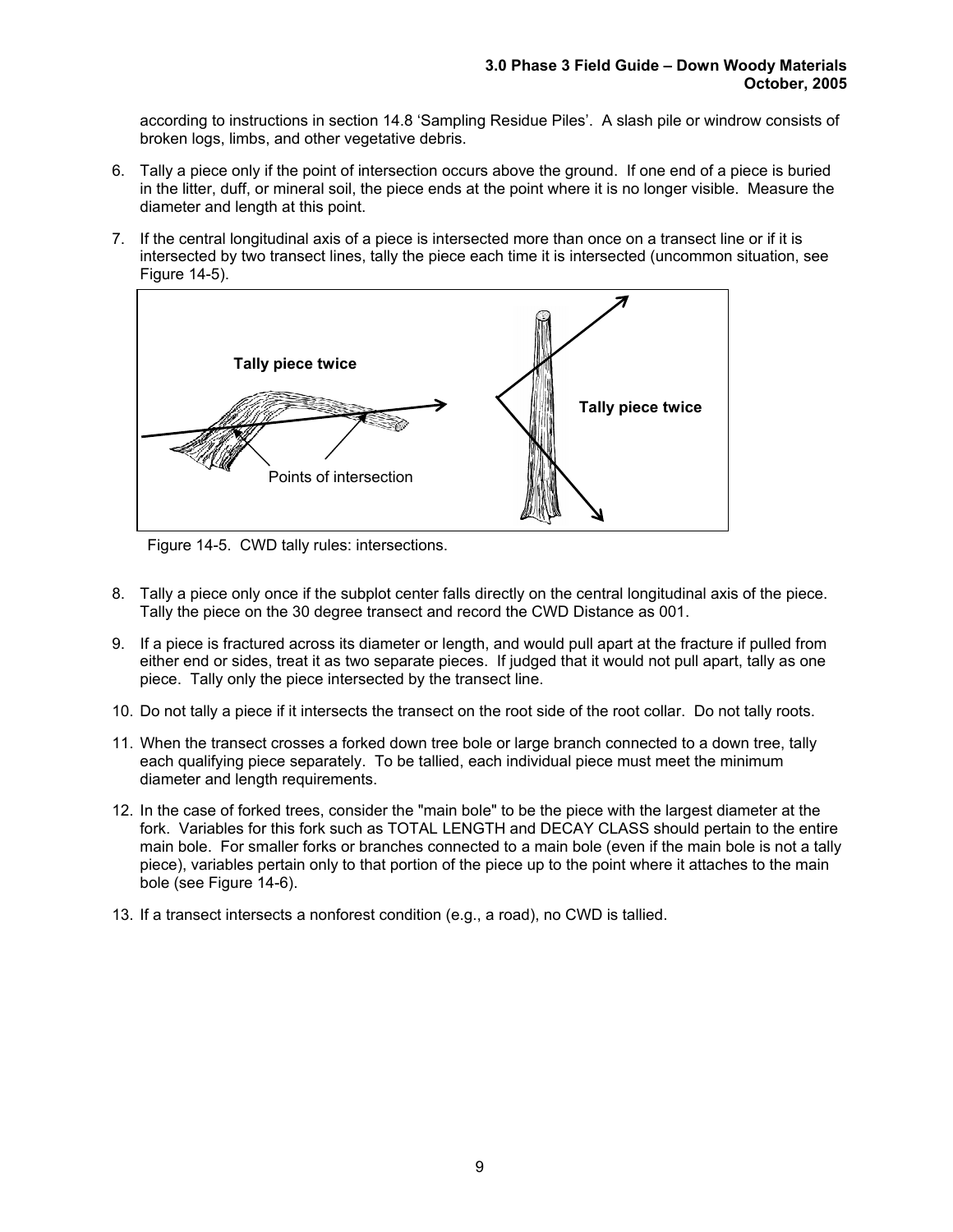according to instructions in section 14.8 'Sampling Residue Piles'. A slash pile or windrow consists of broken logs, limbs, and other vegetative debris.

- 6. Tally a piece only if the point of intersection occurs above the ground. If one end of a piece is buried in the litter, duff, or mineral soil, the piece ends at the point where it is no longer visible. Measure the diameter and length at this point.
- 7. If the central longitudinal axis of a piece is intersected more than once on a transect line or if it is intersected by two transect lines, tally the piece each time it is intersected (uncommon situation, see Figure 14-5).



Figure 14-5. CWD tally rules: intersections.

- 8. Tally a piece only once if the subplot center falls directly on the central longitudinal axis of the piece. Tally the piece on the 30 degree transect and record the CWD Distance as 001.
- 9. If a piece is fractured across its diameter or length, and would pull apart at the fracture if pulled from either end or sides, treat it as two separate pieces. If judged that it would not pull apart, tally as one piece. Tally only the piece intersected by the transect line.
- 10. Do not tally a piece if it intersects the transect on the root side of the root collar. Do not tally roots.
- 11. When the transect crosses a forked down tree bole or large branch connected to a down tree, tally each qualifying piece separately. To be tallied, each individual piece must meet the minimum diameter and length requirements.
- 12. In the case of forked trees, consider the "main bole" to be the piece with the largest diameter at the fork. Variables for this fork such as TOTAL LENGTH and DECAY CLASS should pertain to the entire main bole. For smaller forks or branches connected to a main bole (even if the main bole is not a tally piece), variables pertain only to that portion of the piece up to the point where it attaches to the main bole (see Figure 14-6).
- 13. If a transect intersects a nonforest condition (e.g., a road), no CWD is tallied.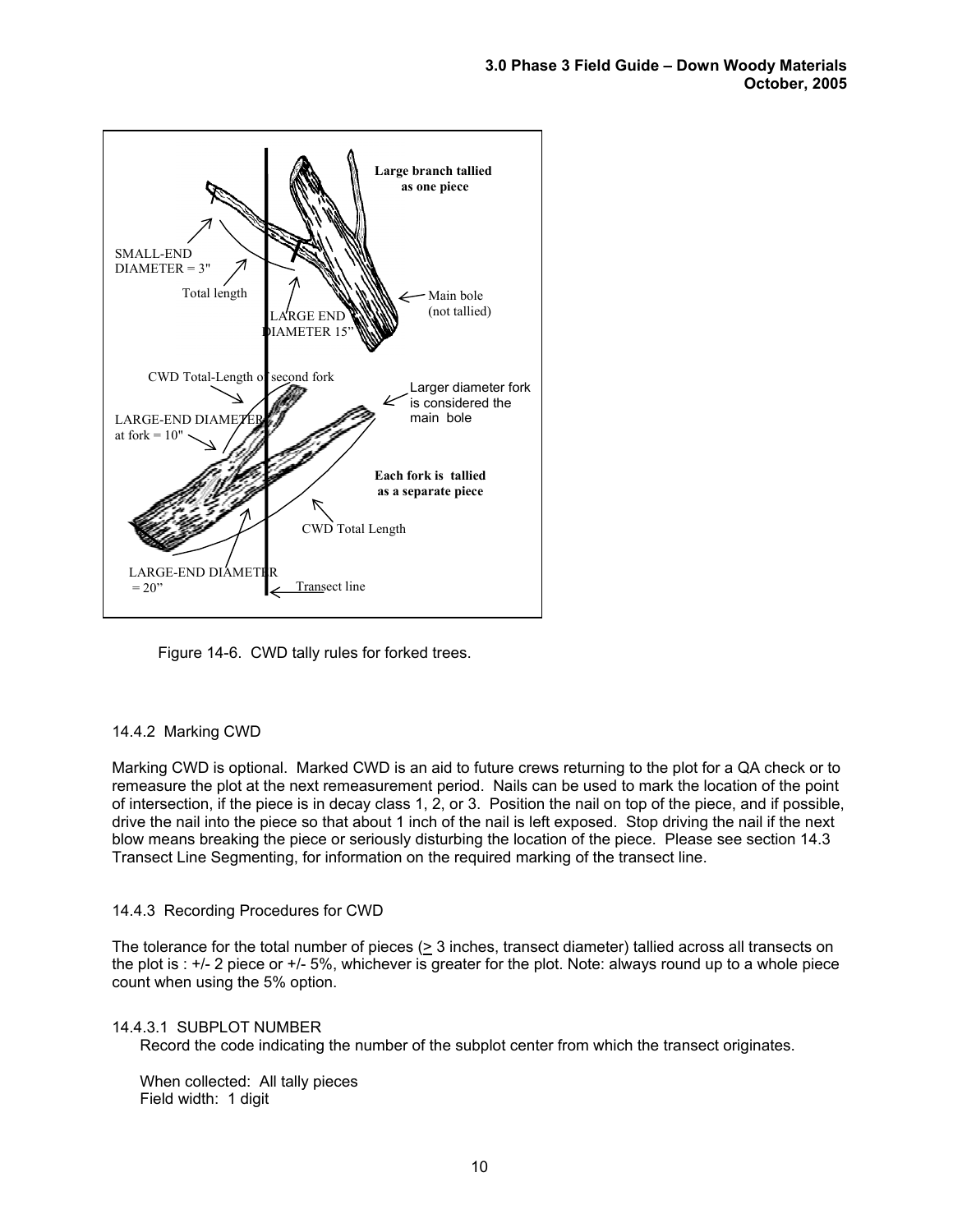

Figure 14-6. CWD tally rules for forked trees.

# 14.4.2 Marking CWD

Marking CWD is optional. Marked CWD is an aid to future crews returning to the plot for a QA check or to remeasure the plot at the next remeasurement period. Nails can be used to mark the location of the point of intersection, if the piece is in decay class 1, 2, or 3. Position the nail on top of the piece, and if possible, drive the nail into the piece so that about 1 inch of the nail is left exposed. Stop driving the nail if the next blow means breaking the piece or seriously disturbing the location of the piece. Please see section 14.3 Transect Line Segmenting, for information on the required marking of the transect line.

#### 14.4.3 Recording Procedures for CWD

The tolerance for the total number of pieces (> 3 inches, transect diameter) tallied across all transects on the plot is : +/- 2 piece or +/- 5%, whichever is greater for the plot. Note: always round up to a whole piece count when using the 5% option.

#### 14.4.3.1 SUBPLOT NUMBER

Record the code indicating the number of the subplot center from which the transect originates.

When collected: All tally pieces Field width: 1 digit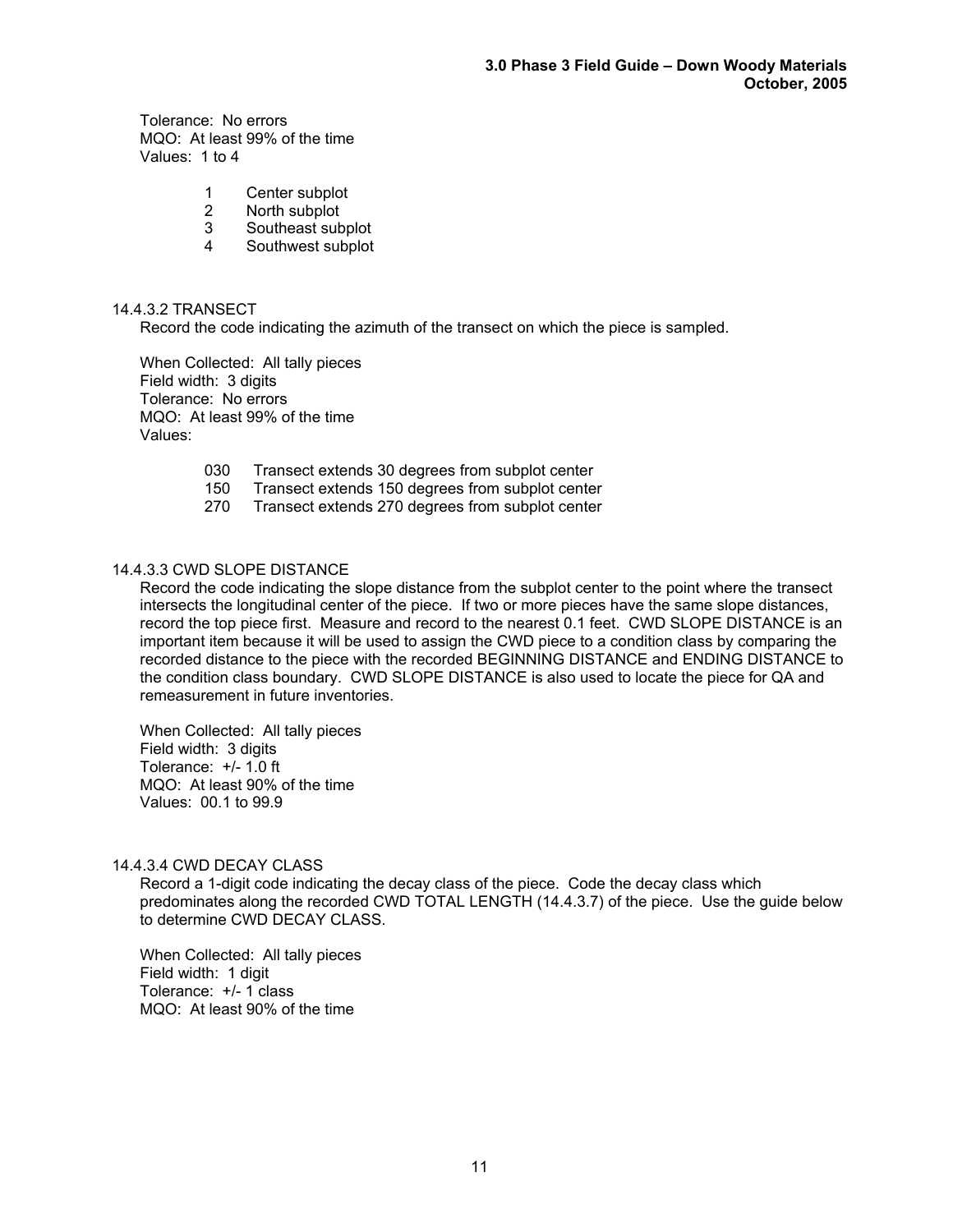Tolerance: No errors MQO: At least 99% of the time Values: 1 to 4

- 1 Center subplot
- 2 North subplot
- 3 Southeast subplot
- 4 Southwest subplot

#### 14.4.3.2 TRANSECT

Record the code indicating the azimuth of the transect on which the piece is sampled.

When Collected: All tally pieces Field width: 3 digits Tolerance: No errors MQO: At least 99% of the time Values:

- 030 Transect extends 30 degrees from subplot center
- 150 Transect extends 150 degrees from subplot center
- 270 Transect extends 270 degrees from subplot center

## 14.4.3.3 CWD SLOPE DISTANCE

Record the code indicating the slope distance from the subplot center to the point where the transect intersects the longitudinal center of the piece. If two or more pieces have the same slope distances, record the top piece first. Measure and record to the nearest 0.1 feet. CWD SLOPE DISTANCE is an important item because it will be used to assign the CWD piece to a condition class by comparing the recorded distance to the piece with the recorded BEGINNING DISTANCE and ENDING DISTANCE to the condition class boundary. CWD SLOPE DISTANCE is also used to locate the piece for QA and remeasurement in future inventories.

When Collected: All tally pieces Field width: 3 digits Tolerance: +/- 1.0 ft MQO: At least 90% of the time Values: 00.1 to 99.9

#### 14.4.3.4 CWD DECAY CLASS

Record a 1-digit code indicating the decay class of the piece. Code the decay class which predominates along the recorded CWD TOTAL LENGTH (14.4.3.7) of the piece. Use the guide below to determine CWD DECAY CLASS.

When Collected: All tally pieces Field width: 1 digit Tolerance: +/- 1 class MQO: At least 90% of the time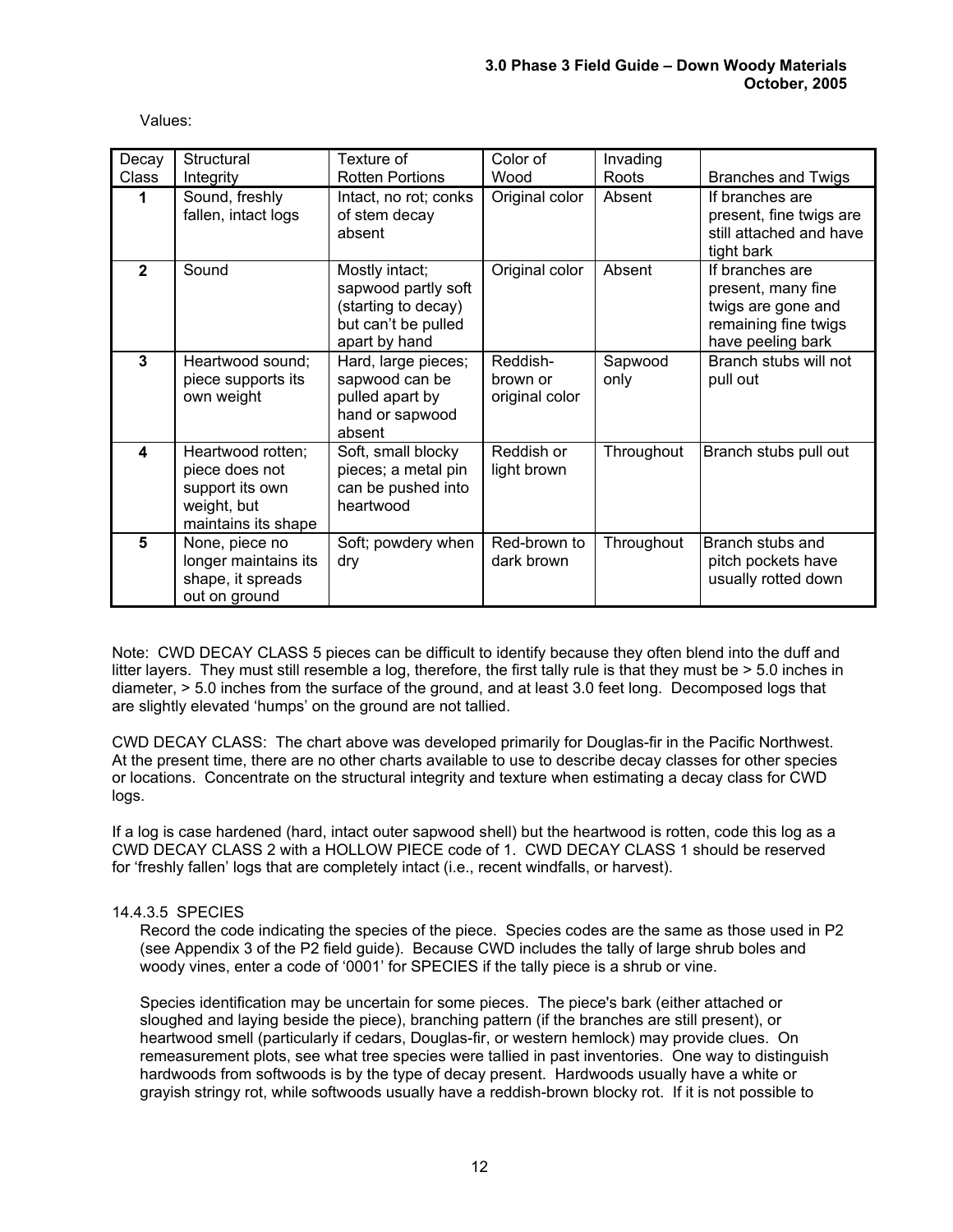Values:

| Decay          | Structural                                                                                   | Texture of                                                                                           | Color of                               | Invading        |                                                                                                          |
|----------------|----------------------------------------------------------------------------------------------|------------------------------------------------------------------------------------------------------|----------------------------------------|-----------------|----------------------------------------------------------------------------------------------------------|
| Class          | Integrity                                                                                    | <b>Rotten Portions</b>                                                                               | Wood                                   | Roots           | <b>Branches and Twigs</b>                                                                                |
| 1              | Sound, freshly<br>fallen, intact logs                                                        | Intact, no rot; conks<br>of stem decay<br>absent                                                     | Original color                         | Absent          | If branches are<br>present, fine twigs are<br>still attached and have<br>tight bark                      |
| $\mathbf{2}$   | Sound                                                                                        | Mostly intact;<br>sapwood partly soft<br>(starting to decay)<br>but can't be pulled<br>apart by hand | Original color                         | Absent          | If branches are<br>present, many fine<br>twigs are gone and<br>remaining fine twigs<br>have peeling bark |
| $\overline{3}$ | Heartwood sound;<br>piece supports its<br>own weight                                         | Hard, large pieces;<br>sapwood can be<br>pulled apart by<br>hand or sapwood<br>absent                | Reddish-<br>brown or<br>original color | Sapwood<br>only | Branch stubs will not<br>pull out                                                                        |
| 4              | Heartwood rotten;<br>piece does not<br>support its own<br>weight, but<br>maintains its shape | Soft, small blocky<br>pieces; a metal pin<br>can be pushed into<br>heartwood                         | Reddish or<br>light brown              | Throughout      | Branch stubs pull out                                                                                    |
| 5              | None, piece no<br>longer maintains its<br>shape, it spreads<br>out on ground                 | Soft; powdery when<br>dry                                                                            | Red-brown to<br>dark brown             | Throughout      | Branch stubs and<br>pitch pockets have<br>usually rotted down                                            |

Note: CWD DECAY CLASS 5 pieces can be difficult to identify because they often blend into the duff and litter layers. They must still resemble a log, therefore, the first tally rule is that they must be > 5.0 inches in diameter, > 5.0 inches from the surface of the ground, and at least 3.0 feet long. Decomposed logs that are slightly elevated 'humps' on the ground are not tallied.

CWD DECAY CLASS: The chart above was developed primarily for Douglas-fir in the Pacific Northwest. At the present time, there are no other charts available to use to describe decay classes for other species or locations. Concentrate on the structural integrity and texture when estimating a decay class for CWD logs.

If a log is case hardened (hard, intact outer sapwood shell) but the heartwood is rotten, code this log as a CWD DECAY CLASS 2 with a HOLLOW PIECE code of 1. CWD DECAY CLASS 1 should be reserved for 'freshly fallen' logs that are completely intact (i.e., recent windfalls, or harvest).

# 14.4.3.5 SPECIES

Record the code indicating the species of the piece. Species codes are the same as those used in P2 (see Appendix 3 of the P2 field guide). Because CWD includes the tally of large shrub boles and woody vines, enter a code of '0001' for SPECIES if the tally piece is a shrub or vine.

Species identification may be uncertain for some pieces. The piece's bark (either attached or sloughed and laying beside the piece), branching pattern (if the branches are still present), or heartwood smell (particularly if cedars, Douglas-fir, or western hemlock) may provide clues. On remeasurement plots, see what tree species were tallied in past inventories. One way to distinguish hardwoods from softwoods is by the type of decay present. Hardwoods usually have a white or grayish stringy rot, while softwoods usually have a reddish-brown blocky rot. If it is not possible to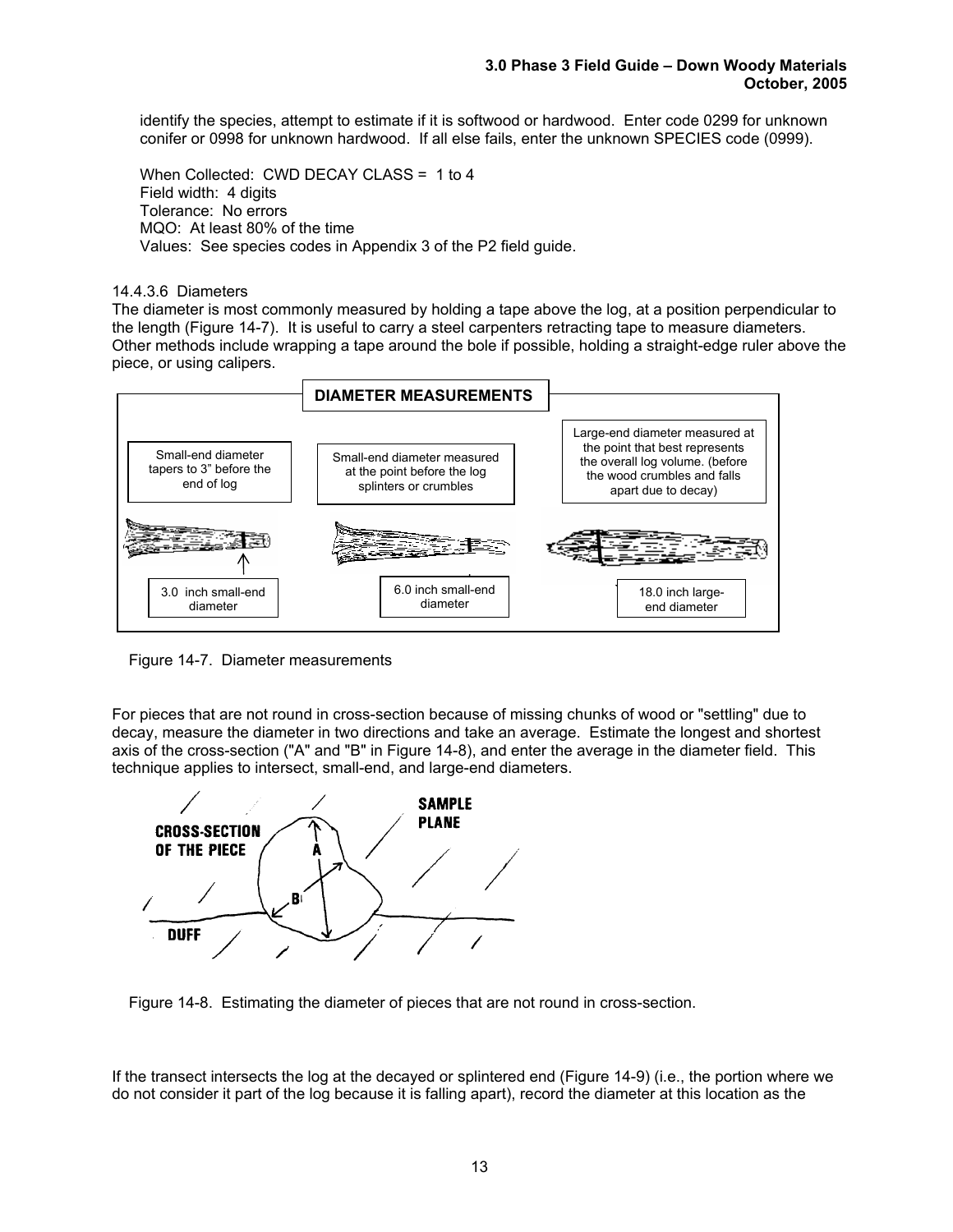identify the species, attempt to estimate if it is softwood or hardwood. Enter code 0299 for unknown conifer or 0998 for unknown hardwood. If all else fails, enter the unknown SPECIES code (0999).

When Collected: CWD DECAY CLASS = 1 to 4 Field width: 4 digits Tolerance: No errors MQO: At least 80% of the time Values: See species codes in Appendix 3 of the P2 field guide.

#### 14.4.3.6 Diameters

The diameter is most commonly measured by holding a tape above the log, at a position perpendicular to the length (Figure 14-7). It is useful to carry a steel carpenters retracting tape to measure diameters. Other methods include wrapping a tape around the bole if possible, holding a straight-edge ruler above the piece, or using calipers.



Figure 14-7. Diameter measurements

For pieces that are not round in cross-section because of missing chunks of wood or "settling" due to decay, measure the diameter in two directions and take an average. Estimate the longest and shortest axis of the cross-section ("A" and "B" in Figure 14-8), and enter the average in the diameter field. This technique applies to intersect, small-end, and large-end diameters.



Figure 14-8. Estimating the diameter of pieces that are not round in cross-section.

If the transect intersects the log at the decayed or splintered end (Figure 14-9) (i.e., the portion where we do not consider it part of the log because it is falling apart), record the diameter at this location as the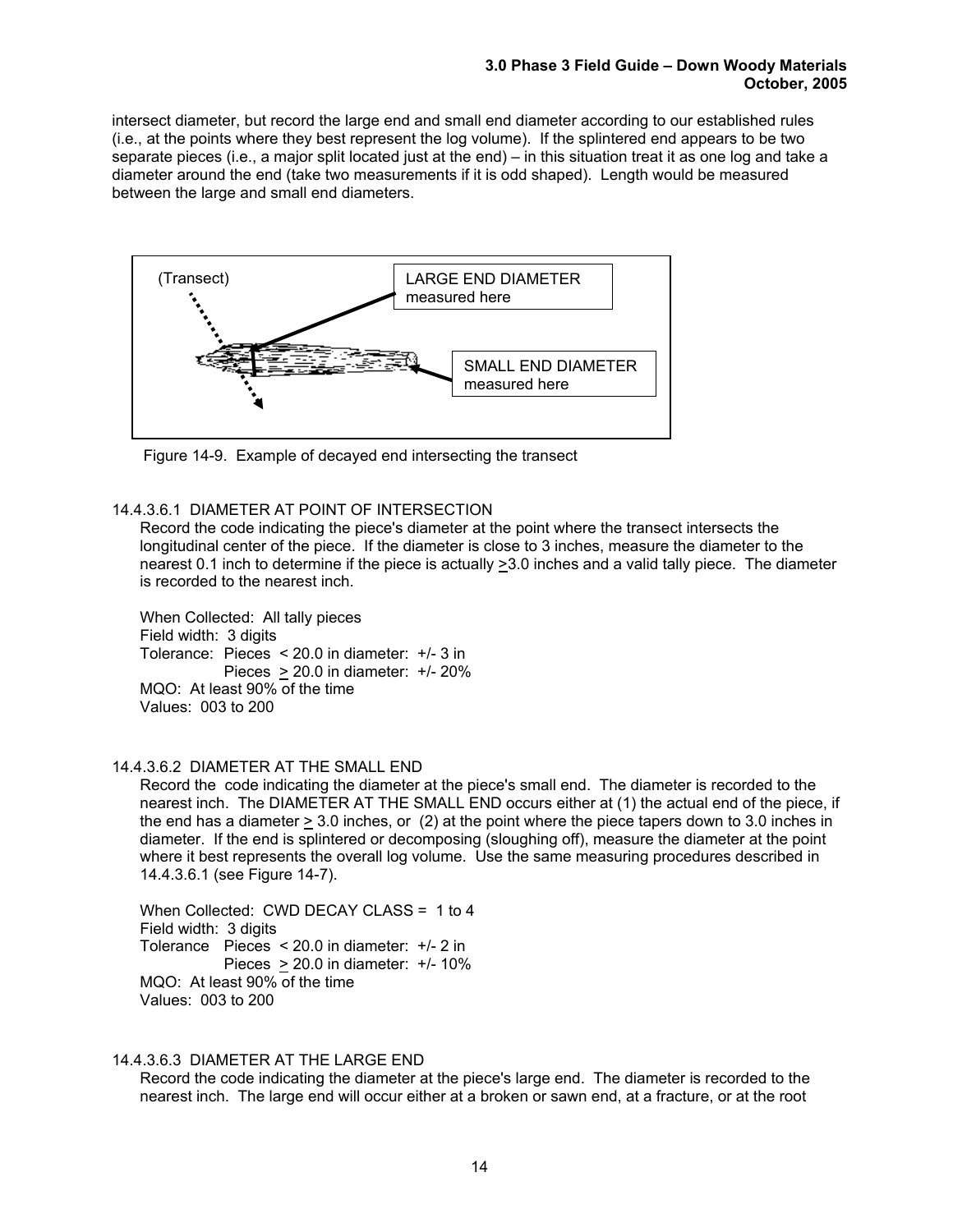intersect diameter, but record the large end and small end diameter according to our established rules (i.e., at the points where they best represent the log volume). If the splintered end appears to be two separate pieces (i.e., a major split located just at the end) – in this situation treat it as one log and take a diameter around the end (take two measurements if it is odd shaped). Length would be measured between the large and small end diameters.



Figure 14-9. Example of decayed end intersecting the transect

#### 14.4.3.6.1 DIAMETER AT POINT OF INTERSECTION

Record the code indicating the piece's diameter at the point where the transect intersects the longitudinal center of the piece. If the diameter is close to 3 inches, measure the diameter to the nearest 0.1 inch to determine if the piece is actually >3.0 inches and a valid tally piece. The diameter is recorded to the nearest inch.

When Collected: All tally pieces Field width: 3 digits Tolerance: Pieces < 20.0 in diameter: +/- 3 in Pieces > 20.0 in diameter: +/- 20% MQO: At least 90% of the time Values: 003 to 200

#### 14.4.3.6.2 DIAMETER AT THE SMALL END

Record the code indicating the diameter at the piece's small end. The diameter is recorded to the nearest inch. The DIAMETER AT THE SMALL END occurs either at (1) the actual end of the piece, if the end has a diameter > 3.0 inches, or (2) at the point where the piece tapers down to 3.0 inches in diameter. If the end is splintered or decomposing (sloughing off), measure the diameter at the point where it best represents the overall log volume. Use the same measuring procedures described in 14.4.3.6.1 (see Figure 14-7).

When Collected: CWD DECAY CLASS = 1 to 4 Field width: 3 digits Tolerance Pieces < 20.0 in diameter: +/- 2 in Pieces  $> 20.0$  in diameter:  $+/- 10\%$ MQO: At least 90% of the time Values: 003 to 200

#### 14.4.3.6.3 DIAMETER AT THE LARGE END

Record the code indicating the diameter at the piece's large end. The diameter is recorded to the nearest inch. The large end will occur either at a broken or sawn end, at a fracture, or at the root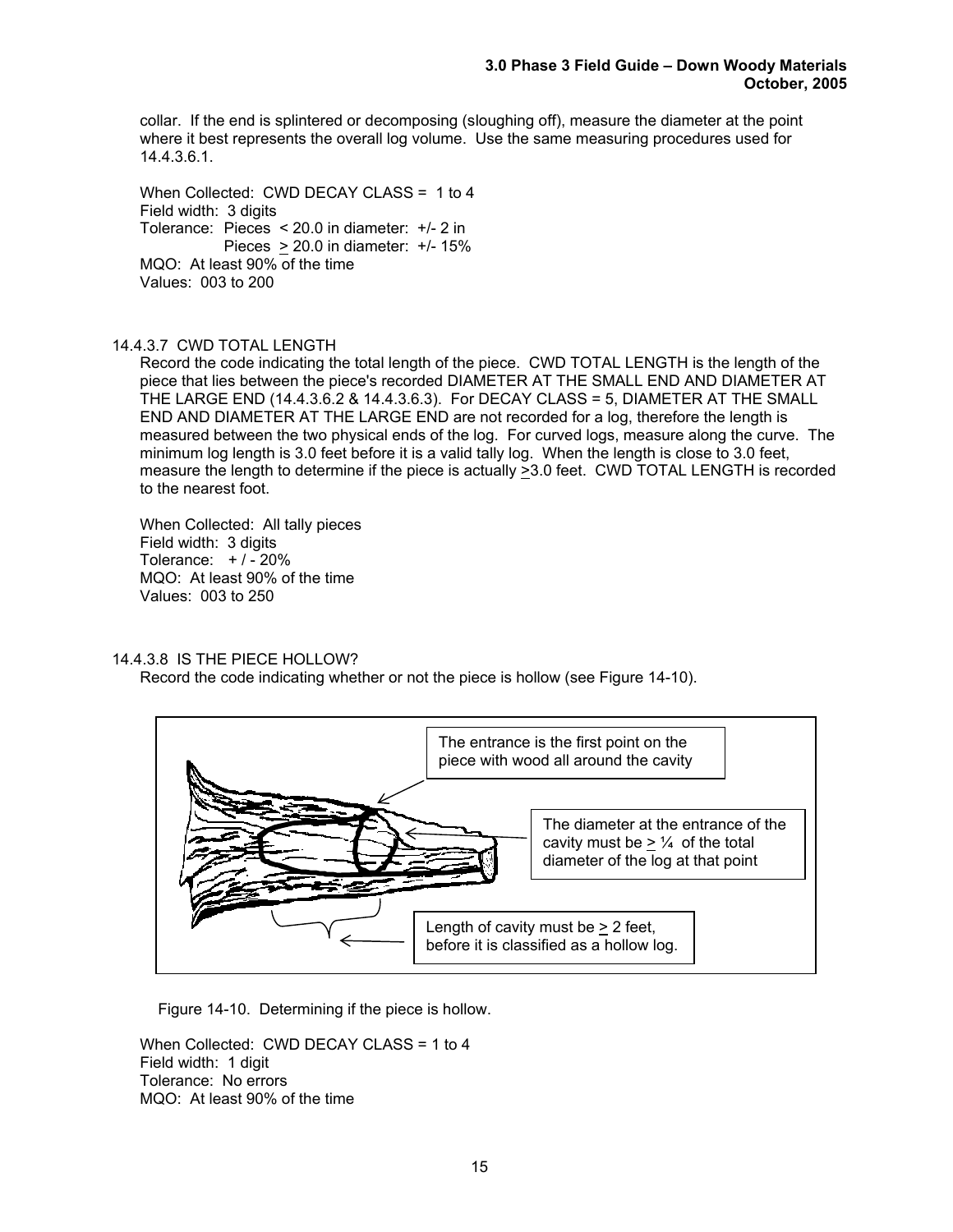collar. If the end is splintered or decomposing (sloughing off), measure the diameter at the point where it best represents the overall log volume. Use the same measuring procedures used for 14.4.3.6.1.

When Collected: CWD DECAY CLASS = 1 to 4 Field width: 3 digits Tolerance: Pieces < 20.0 in diameter: +/- 2 in Pieces > 20.0 in diameter: +/- 15% MQO: At least 90% of the time Values: 003 to 200

## 14.4.3.7 CWD TOTAL LENGTH

Record the code indicating the total length of the piece. CWD TOTAL LENGTH is the length of the piece that lies between the piece's recorded DIAMETER AT THE SMALL END AND DIAMETER AT THE LARGE END (14.4.3.6.2 & 14.4.3.6.3). For DECAY CLASS = 5, DIAMETER AT THE SMALL END AND DIAMETER AT THE LARGE END are not recorded for a log, therefore the length is measured between the two physical ends of the log. For curved logs, measure along the curve. The minimum log length is 3.0 feet before it is a valid tally log. When the length is close to 3.0 feet, measure the length to determine if the piece is actually  $\geq$ 3.0 feet. CWD TOTAL LENGTH is recorded to the nearest foot.

When Collected: All tally pieces Field width: 3 digits Tolerance:  $+/-20%$ MQO: At least 90% of the time Values: 003 to 250

## 14.4.3.8 IS THE PIECE HOLLOW?

Record the code indicating whether or not the piece is hollow (see Figure 14-10).



Figure 14-10. Determining if the piece is hollow.

When Collected: CWD DECAY CLASS = 1 to 4 Field width: 1 digit Tolerance: No errors MQO: At least 90% of the time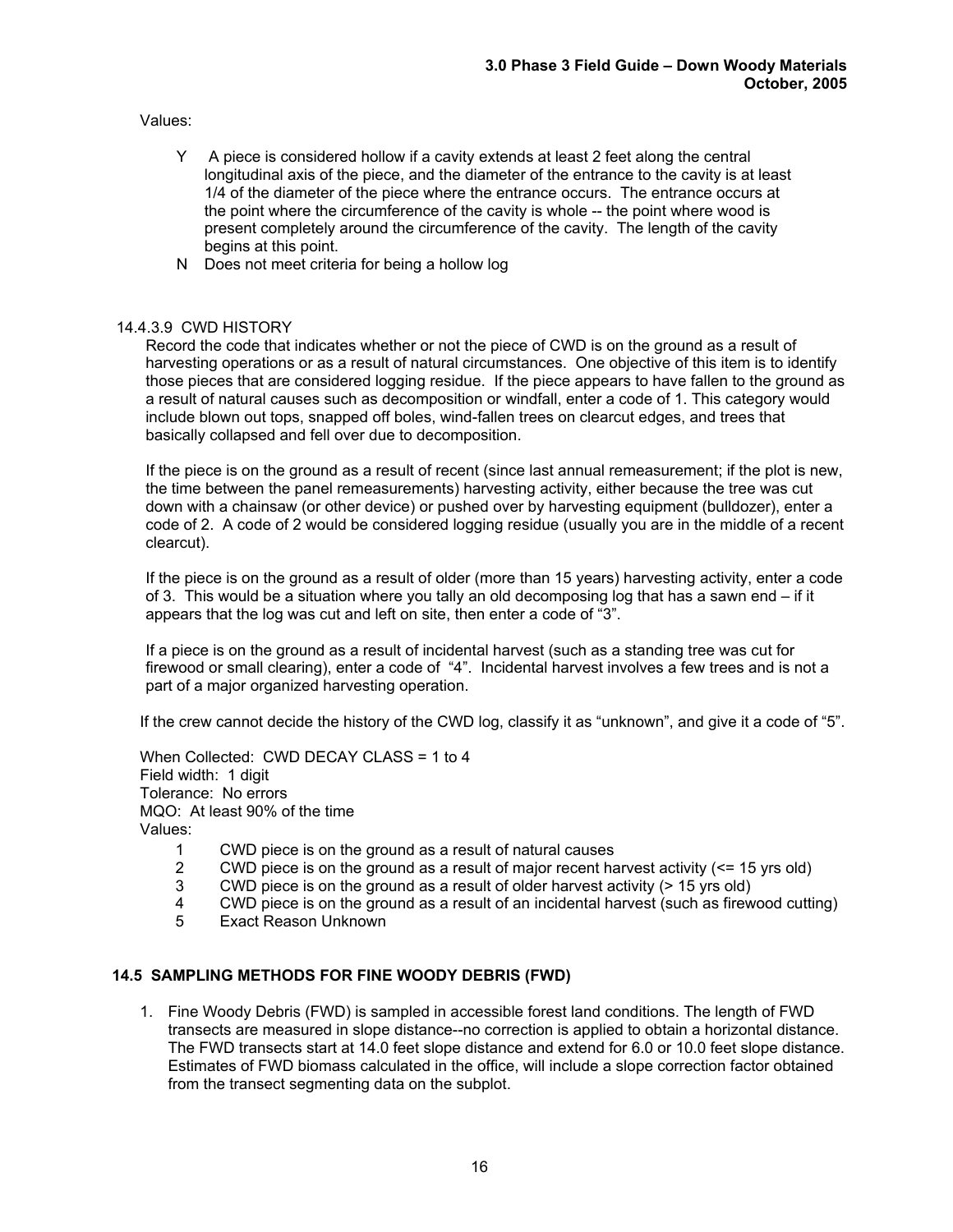Values:

- Y A piece is considered hollow if a cavity extends at least 2 feet along the central longitudinal axis of the piece, and the diameter of the entrance to the cavity is at least 1/4 of the diameter of the piece where the entrance occurs. The entrance occurs at the point where the circumference of the cavity is whole -- the point where wood is present completely around the circumference of the cavity. The length of the cavity begins at this point.
- N Does not meet criteria for being a hollow log

## 14.4.3.9 CWD HISTORY

Record the code that indicates whether or not the piece of CWD is on the ground as a result of harvesting operations or as a result of natural circumstances. One objective of this item is to identify those pieces that are considered logging residue. If the piece appears to have fallen to the ground as a result of natural causes such as decomposition or windfall, enter a code of 1. This category would include blown out tops, snapped off boles, wind-fallen trees on clearcut edges, and trees that basically collapsed and fell over due to decomposition.

If the piece is on the ground as a result of recent (since last annual remeasurement; if the plot is new, the time between the panel remeasurements) harvesting activity, either because the tree was cut down with a chainsaw (or other device) or pushed over by harvesting equipment (bulldozer), enter a code of 2. A code of 2 would be considered logging residue (usually you are in the middle of a recent clearcut).

If the piece is on the ground as a result of older (more than 15 years) harvesting activity, enter a code of 3. This would be a situation where you tally an old decomposing log that has a sawn end – if it appears that the log was cut and left on site, then enter a code of "3".

If a piece is on the ground as a result of incidental harvest (such as a standing tree was cut for firewood or small clearing), enter a code of "4". Incidental harvest involves a few trees and is not a part of a major organized harvesting operation.

If the crew cannot decide the history of the CWD log, classify it as "unknown", and give it a code of "5".

When Collected: CWD DECAY CLASS = 1 to 4 Field width: 1 digit Tolerance: No errors MQO: At least 90% of the time Values:

- 1 CWD piece is on the ground as a result of natural causes
- 2 CWD piece is on the ground as a result of major recent harvest activity  $\langle$  <= 15 yrs old)<br>3 CWD piece is on the ground as a result of older harvest activity  $\langle$  > 15 yrs old)
- 3 CWD piece is on the ground as a result of older harvest activity (> 15 yrs old)
- 4 CWD piece is on the ground as a result of an incidental harvest (such as firewood cutting)
- 5 Exact Reason Unknown

#### **14.5 SAMPLING METHODS FOR FINE WOODY DEBRIS (FWD)**

1. Fine Woody Debris (FWD) is sampled in accessible forest land conditions. The length of FWD transects are measured in slope distance--no correction is applied to obtain a horizontal distance. The FWD transects start at 14.0 feet slope distance and extend for 6.0 or 10.0 feet slope distance. Estimates of FWD biomass calculated in the office, will include a slope correction factor obtained from the transect segmenting data on the subplot.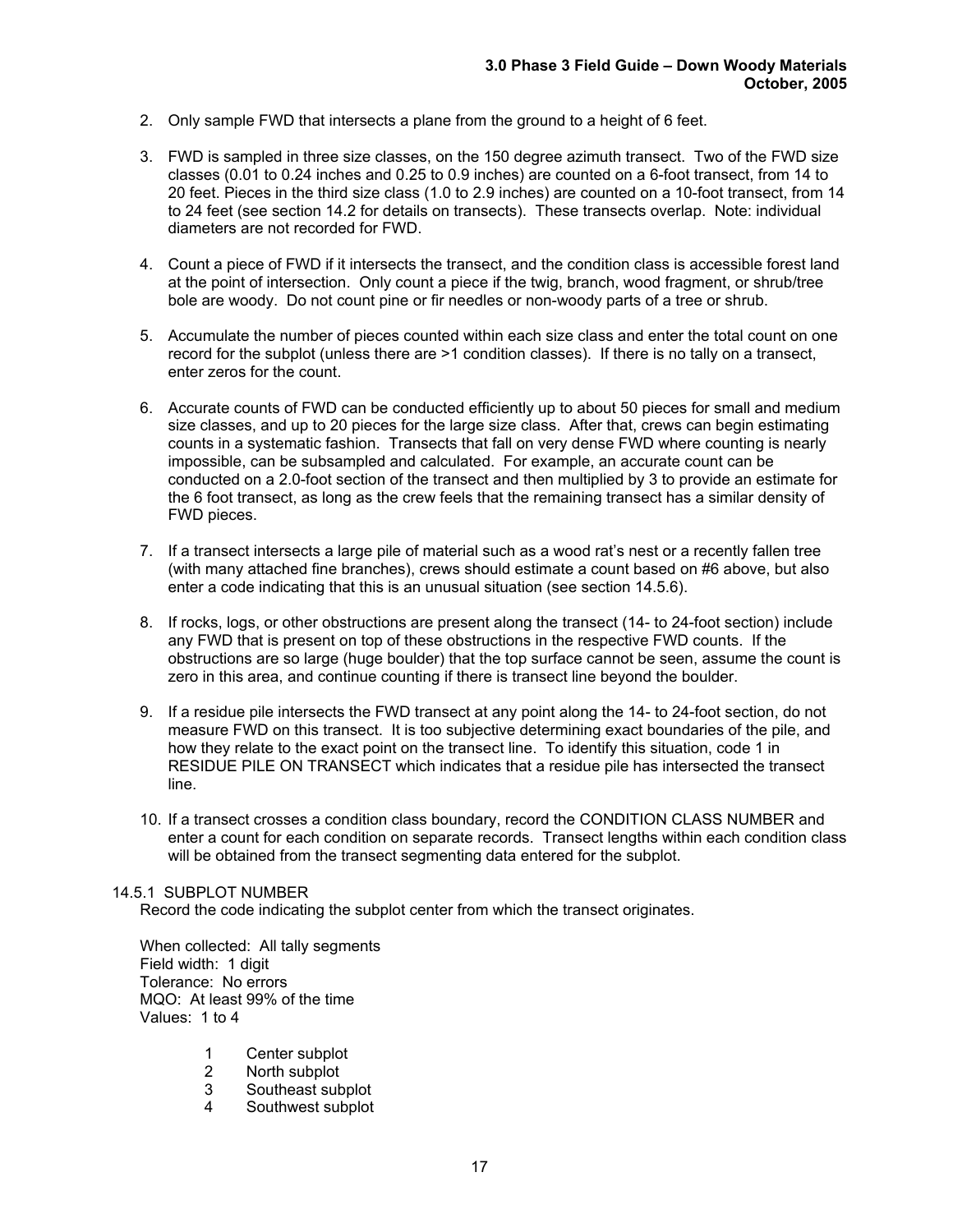- 2. Only sample FWD that intersects a plane from the ground to a height of 6 feet.
- 3. FWD is sampled in three size classes, on the 150 degree azimuth transect. Two of the FWD size classes (0.01 to 0.24 inches and 0.25 to 0.9 inches) are counted on a 6-foot transect, from 14 to 20 feet. Pieces in the third size class (1.0 to 2.9 inches) are counted on a 10-foot transect, from 14 to 24 feet (see section 14.2 for details on transects). These transects overlap. Note: individual diameters are not recorded for FWD.
- 4. Count a piece of FWD if it intersects the transect, and the condition class is accessible forest land at the point of intersection. Only count a piece if the twig, branch, wood fragment, or shrub/tree bole are woody. Do not count pine or fir needles or non-woody parts of a tree or shrub.
- 5. Accumulate the number of pieces counted within each size class and enter the total count on one record for the subplot (unless there are >1 condition classes). If there is no tally on a transect, enter zeros for the count.
- 6. Accurate counts of FWD can be conducted efficiently up to about 50 pieces for small and medium size classes, and up to 20 pieces for the large size class. After that, crews can begin estimating counts in a systematic fashion. Transects that fall on very dense FWD where counting is nearly impossible, can be subsampled and calculated. For example, an accurate count can be conducted on a 2.0-foot section of the transect and then multiplied by 3 to provide an estimate for the 6 foot transect, as long as the crew feels that the remaining transect has a similar density of FWD pieces.
- 7. If a transect intersects a large pile of material such as a wood rat's nest or a recently fallen tree (with many attached fine branches), crews should estimate a count based on #6 above, but also enter a code indicating that this is an unusual situation (see section 14.5.6).
- 8. If rocks, logs, or other obstructions are present along the transect (14- to 24-foot section) include any FWD that is present on top of these obstructions in the respective FWD counts. If the obstructions are so large (huge boulder) that the top surface cannot be seen, assume the count is zero in this area, and continue counting if there is transect line beyond the boulder.
- 9. If a residue pile intersects the FWD transect at any point along the 14- to 24-foot section, do not measure FWD on this transect. It is too subjective determining exact boundaries of the pile, and how they relate to the exact point on the transect line. To identify this situation, code 1 in RESIDUE PILE ON TRANSECT which indicates that a residue pile has intersected the transect line.
- 10. If a transect crosses a condition class boundary, record the CONDITION CLASS NUMBER and enter a count for each condition on separate records. Transect lengths within each condition class will be obtained from the transect segmenting data entered for the subplot.

#### 14.5.1 SUBPLOT NUMBER

Record the code indicating the subplot center from which the transect originates.

When collected: All tally segments Field width: 1 digit Tolerance: No errors MQO: At least 99% of the time Values: 1 to 4

- 1 Center subplot<br>2 North subplot
- North subplot
- 3 Southeast subplot<br>4 Southwest subplot
- Southwest subplot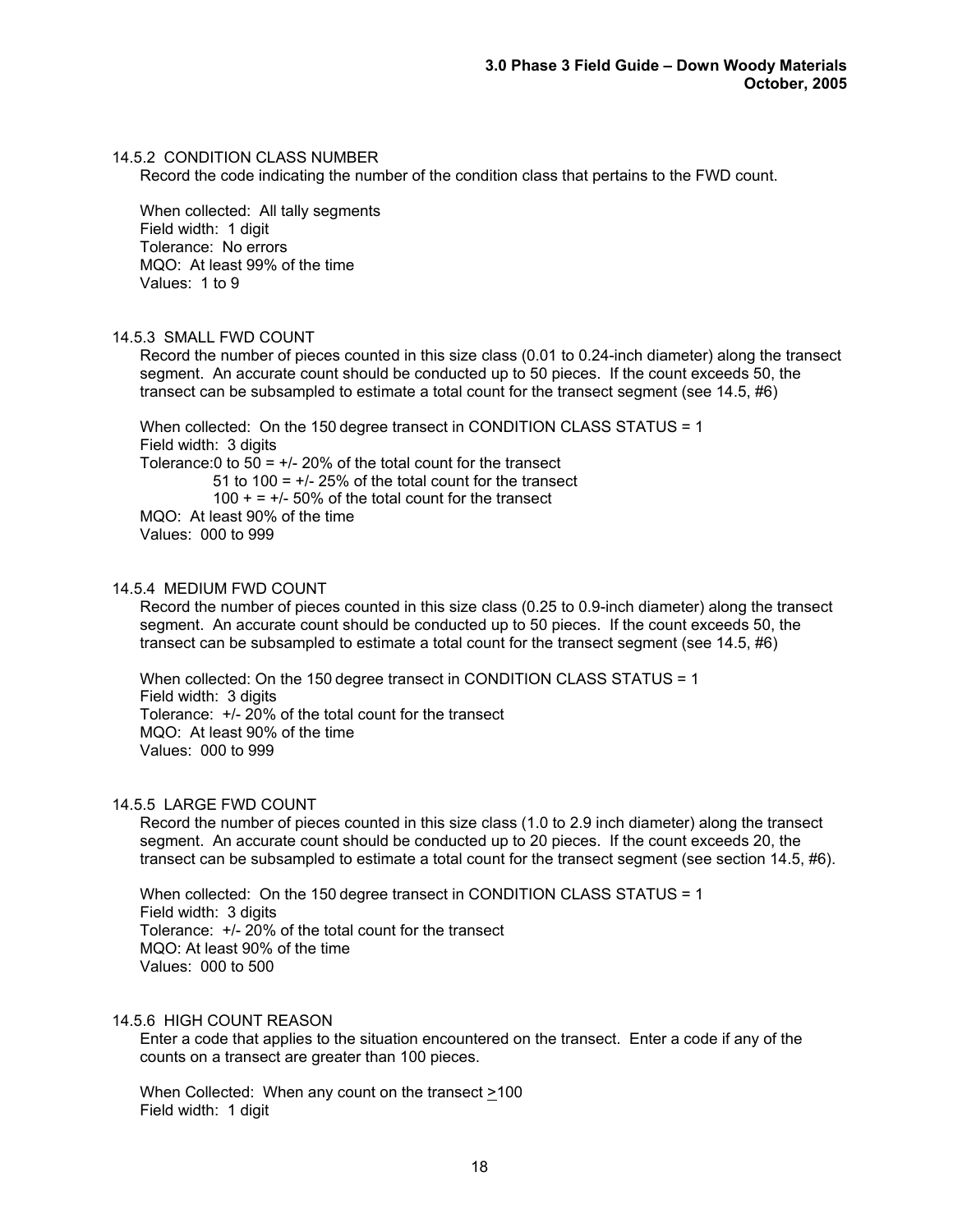#### 14.5.2 CONDITION CLASS NUMBER

Record the code indicating the number of the condition class that pertains to the FWD count.

When collected: All tally segments Field width: 1 digit Tolerance: No errors MQO: At least 99% of the time Values: 1 to 9

#### 14.5.3 SMALL FWD COUNT

Record the number of pieces counted in this size class (0.01 to 0.24-inch diameter) along the transect segment. An accurate count should be conducted up to 50 pieces. If the count exceeds 50, the transect can be subsampled to estimate a total count for the transect segment (see 14.5, #6)

When collected: On the 150 degree transect in CONDITION CLASS STATUS = 1 Field width: 3 digits Tolerance: 0 to  $50 = +1/20\%$  of the total count for the transect 51 to 100 =  $+/$ - 25% of the total count for the transect  $100 + 4 = -1.50\%$  of the total count for the transect MQO: At least 90% of the time Values: 000 to 999

#### 14.5.4 MEDIUM FWD COUNT

Record the number of pieces counted in this size class (0.25 to 0.9-inch diameter) along the transect segment. An accurate count should be conducted up to 50 pieces. If the count exceeds 50, the transect can be subsampled to estimate a total count for the transect segment (see 14.5, #6)

When collected: On the 150 degree transect in CONDITION CLASS STATUS = 1 Field width: 3 digits Tolerance: +/- 20% of the total count for the transect MQO: At least 90% of the time Values: 000 to 999

#### 14.5.5 LARGE FWD COUNT

Record the number of pieces counted in this size class (1.0 to 2.9 inch diameter) along the transect segment. An accurate count should be conducted up to 20 pieces. If the count exceeds 20, the transect can be subsampled to estimate a total count for the transect segment (see section 14.5, #6).

When collected: On the 150 degree transect in CONDITION CLASS STATUS = 1 Field width: 3 digits Tolerance: +/- 20% of the total count for the transect MQO: At least 90% of the time Values: 000 to 500

#### 14.5.6 HIGH COUNT REASON

Enter a code that applies to the situation encountered on the transect. Enter a code if any of the counts on a transect are greater than 100 pieces.

When Collected: When any count on the transect >100 Field width: 1 digit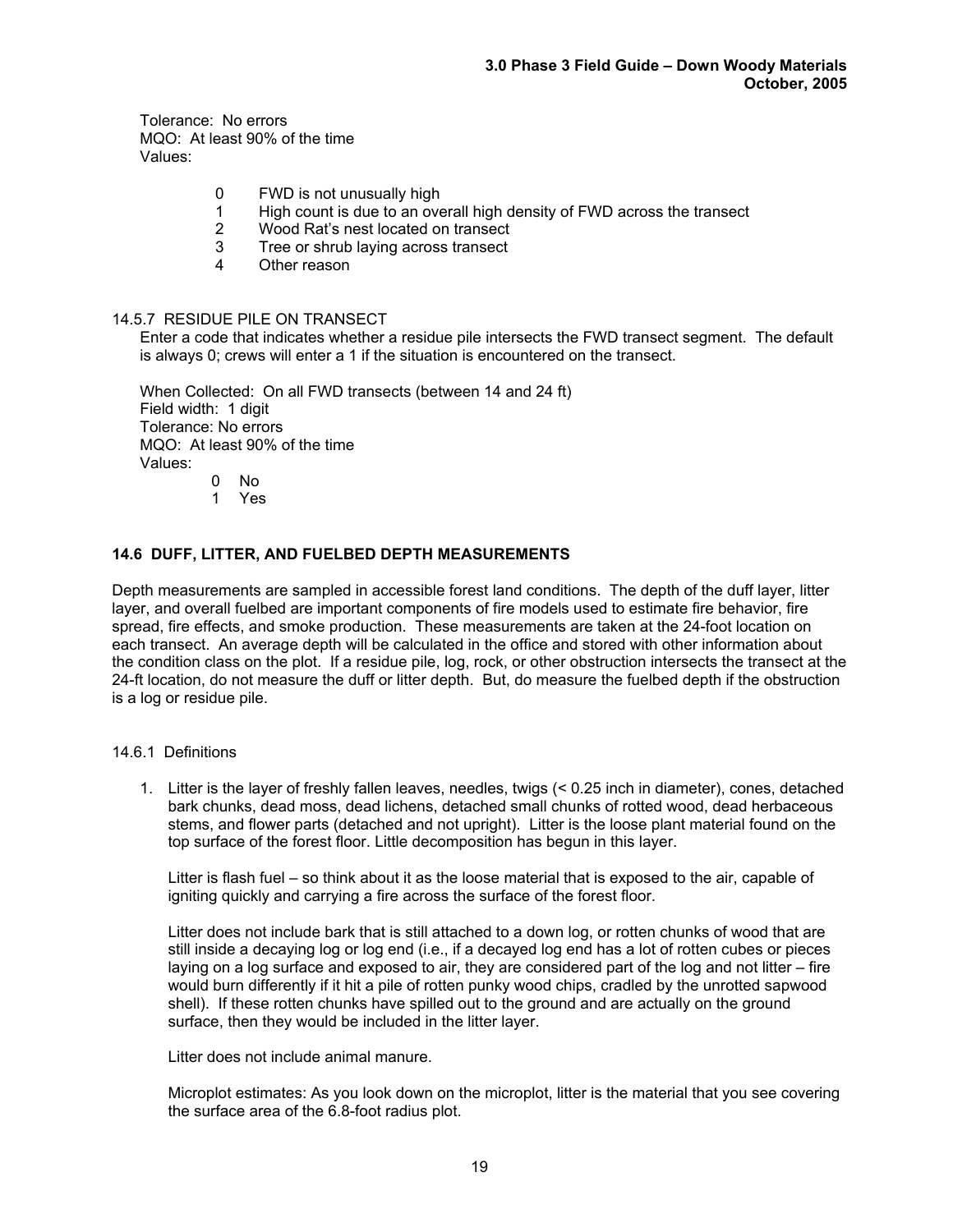Tolerance: No errors MQO: At least 90% of the time Values:

- 0 FWD is not unusually high
- 1 High count is due to an overall high density of FWD across the transect<br>2 Wood Rat's nest located on transect
- Wood Rat's nest located on transect
- 3 Tree or shrub laying across transect<br>4 Other reason
- Other reason

#### 14.5.7 RESIDUE PILE ON TRANSECT

Enter a code that indicates whether a residue pile intersects the FWD transect segment. The default is always 0; crews will enter a 1 if the situation is encountered on the transect.

When Collected: On all FWD transects (between 14 and 24 ft) Field width: 1 digit Tolerance: No errors MQO: At least 90% of the time Values:  $0$  No

1 Yes

#### **14.6 DUFF, LITTER, AND FUELBED DEPTH MEASUREMENTS**

Depth measurements are sampled in accessible forest land conditions. The depth of the duff layer, litter layer, and overall fuelbed are important components of fire models used to estimate fire behavior, fire spread, fire effects, and smoke production. These measurements are taken at the 24-foot location on each transect. An average depth will be calculated in the office and stored with other information about the condition class on the plot. If a residue pile, log, rock, or other obstruction intersects the transect at the 24-ft location, do not measure the duff or litter depth. But, do measure the fuelbed depth if the obstruction is a log or residue pile.

### 14.6.1 Definitions

1. Litter is the layer of freshly fallen leaves, needles, twigs (< 0.25 inch in diameter), cones, detached bark chunks, dead moss, dead lichens, detached small chunks of rotted wood, dead herbaceous stems, and flower parts (detached and not upright). Litter is the loose plant material found on the top surface of the forest floor. Little decomposition has begun in this layer.

Litter is flash fuel – so think about it as the loose material that is exposed to the air, capable of igniting quickly and carrying a fire across the surface of the forest floor.

Litter does not include bark that is still attached to a down log, or rotten chunks of wood that are still inside a decaying log or log end (i.e., if a decayed log end has a lot of rotten cubes or pieces laying on a log surface and exposed to air, they are considered part of the log and not litter – fire would burn differently if it hit a pile of rotten punky wood chips, cradled by the unrotted sapwood shell). If these rotten chunks have spilled out to the ground and are actually on the ground surface, then they would be included in the litter layer.

Litter does not include animal manure.

Microplot estimates: As you look down on the microplot, litter is the material that you see covering the surface area of the 6.8-foot radius plot.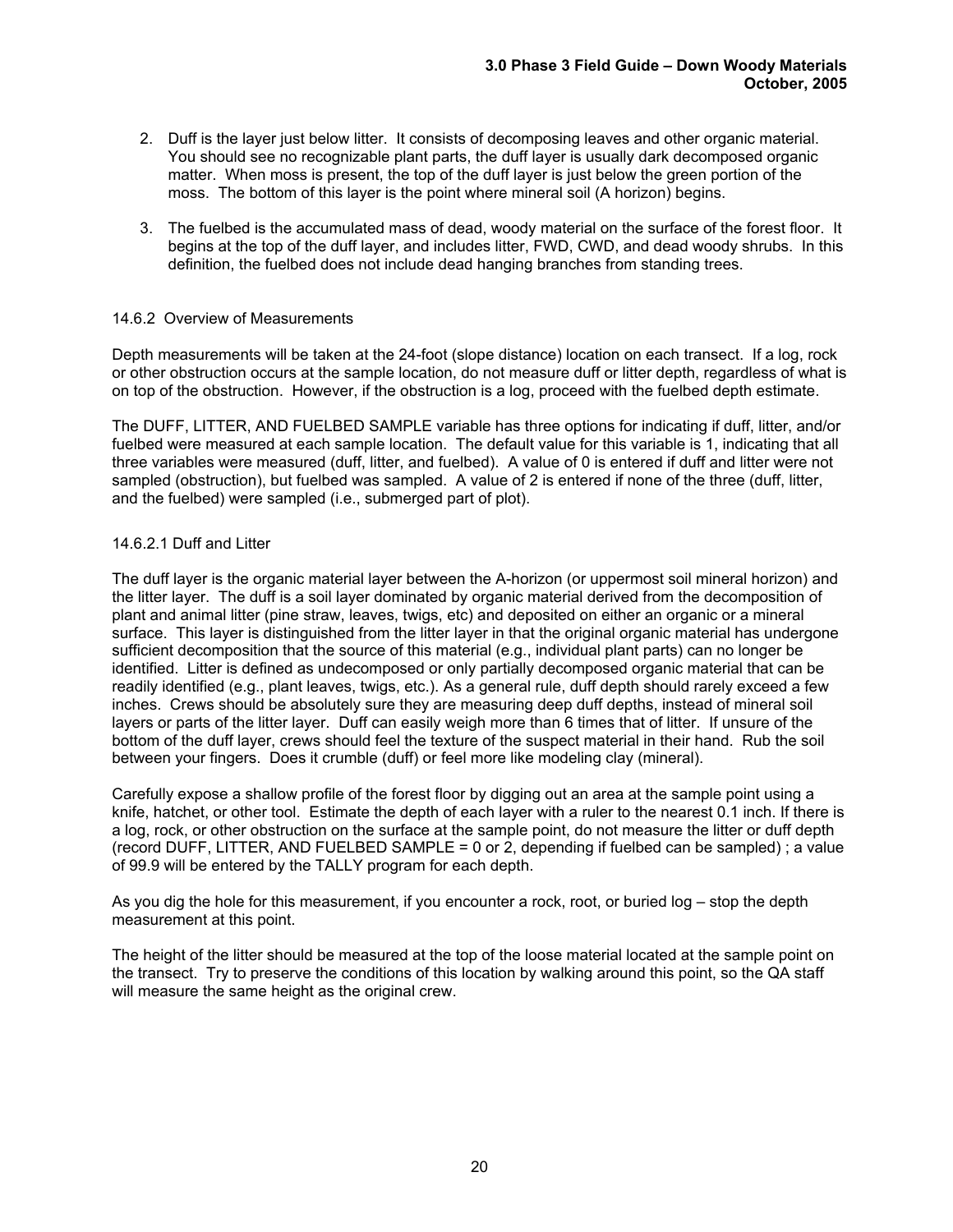- 2. Duff is the layer just below litter. It consists of decomposing leaves and other organic material. You should see no recognizable plant parts, the duff layer is usually dark decomposed organic matter. When moss is present, the top of the duff layer is just below the green portion of the moss. The bottom of this layer is the point where mineral soil (A horizon) begins.
- 3. The fuelbed is the accumulated mass of dead, woody material on the surface of the forest floor. It begins at the top of the duff layer, and includes litter, FWD, CWD, and dead woody shrubs. In this definition, the fuelbed does not include dead hanging branches from standing trees.

## 14.6.2 Overview of Measurements

Depth measurements will be taken at the 24-foot (slope distance) location on each transect. If a log, rock or other obstruction occurs at the sample location, do not measure duff or litter depth, regardless of what is on top of the obstruction. However, if the obstruction is a log, proceed with the fuelbed depth estimate.

The DUFF, LITTER, AND FUELBED SAMPLE variable has three options for indicating if duff, litter, and/or fuelbed were measured at each sample location. The default value for this variable is 1, indicating that all three variables were measured (duff, litter, and fuelbed). A value of 0 is entered if duff and litter were not sampled (obstruction), but fuelbed was sampled. A value of 2 is entered if none of the three (duff, litter, and the fuelbed) were sampled (i.e., submerged part of plot).

## 14.6.2.1 Duff and Litter

The duff layer is the organic material layer between the A-horizon (or uppermost soil mineral horizon) and the litter layer. The duff is a soil layer dominated by organic material derived from the decomposition of plant and animal litter (pine straw, leaves, twigs, etc) and deposited on either an organic or a mineral surface. This layer is distinguished from the litter layer in that the original organic material has undergone sufficient decomposition that the source of this material (e.g., individual plant parts) can no longer be identified. Litter is defined as undecomposed or only partially decomposed organic material that can be readily identified (e.g., plant leaves, twigs, etc.). As a general rule, duff depth should rarely exceed a few inches. Crews should be absolutely sure they are measuring deep duff depths, instead of mineral soil layers or parts of the litter layer. Duff can easily weigh more than 6 times that of litter. If unsure of the bottom of the duff layer, crews should feel the texture of the suspect material in their hand. Rub the soil between your fingers. Does it crumble (duff) or feel more like modeling clay (mineral).

Carefully expose a shallow profile of the forest floor by digging out an area at the sample point using a knife, hatchet, or other tool. Estimate the depth of each layer with a ruler to the nearest 0.1 inch. If there is a log, rock, or other obstruction on the surface at the sample point, do not measure the litter or duff depth (record DUFF, LITTER, AND FUELBED SAMPLE = 0 or 2, depending if fuelbed can be sampled) ; a value of 99.9 will be entered by the TALLY program for each depth.

As you dig the hole for this measurement, if you encounter a rock, root, or buried log – stop the depth measurement at this point.

The height of the litter should be measured at the top of the loose material located at the sample point on the transect. Try to preserve the conditions of this location by walking around this point, so the QA staff will measure the same height as the original crew.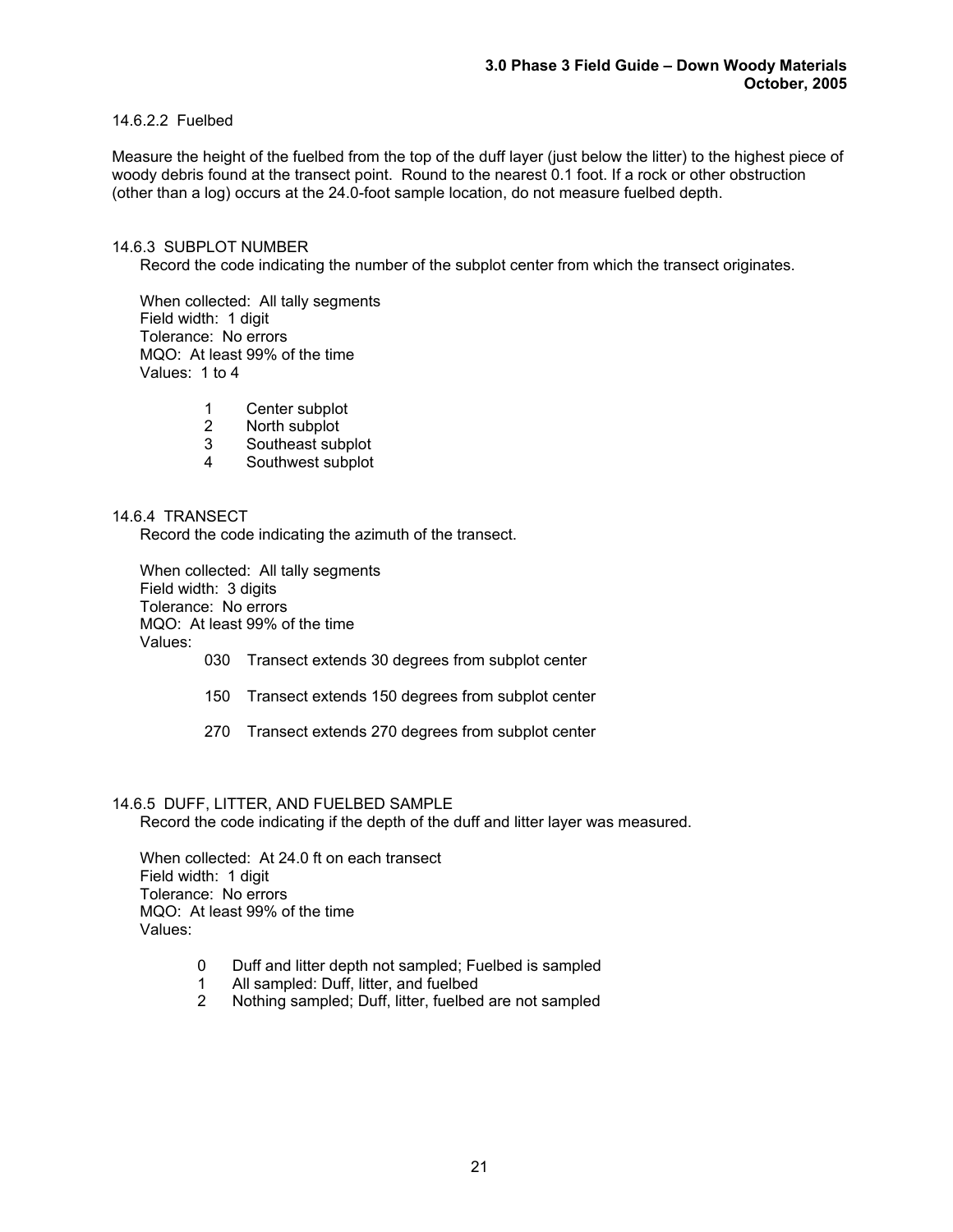# 14.6.2.2 Fuelbed

Measure the height of the fuelbed from the top of the duff layer (just below the litter) to the highest piece of woody debris found at the transect point. Round to the nearest 0.1 foot. If a rock or other obstruction (other than a log) occurs at the 24.0-foot sample location, do not measure fuelbed depth.

#### 14.6.3 SUBPLOT NUMBER

Record the code indicating the number of the subplot center from which the transect originates.

When collected: All tally segments Field width: 1 digit Tolerance: No errors MQO: At least 99% of the time Values: 1 to 4

- 1 Center subplot
- 2 North subplot
- 3 Southeast subplot<br>4 Southwest subplot
- Southwest subplot

#### 14.6.4 TRANSECT

Record the code indicating the azimuth of the transect.

When collected: All tally segments Field width: 3 digits Tolerance: No errors MQO: At least 99% of the time Values:

- 030 Transect extends 30 degrees from subplot center
- 150 Transect extends 150 degrees from subplot center
- 270 Transect extends 270 degrees from subplot center

#### 14.6.5 DUFF, LITTER, AND FUELBED SAMPLE

Record the code indicating if the depth of the duff and litter layer was measured.

When collected: At 24.0 ft on each transect Field width: 1 digit Tolerance: No errors MQO: At least 99% of the time Values:

- 0 Duff and litter depth not sampled; Fuelbed is sampled
- 1 All sampled: Duff, litter, and fuelbed<br>2 Nothing sampled: Duff. litter. fuelbed
- Nothing sampled; Duff, litter, fuelbed are not sampled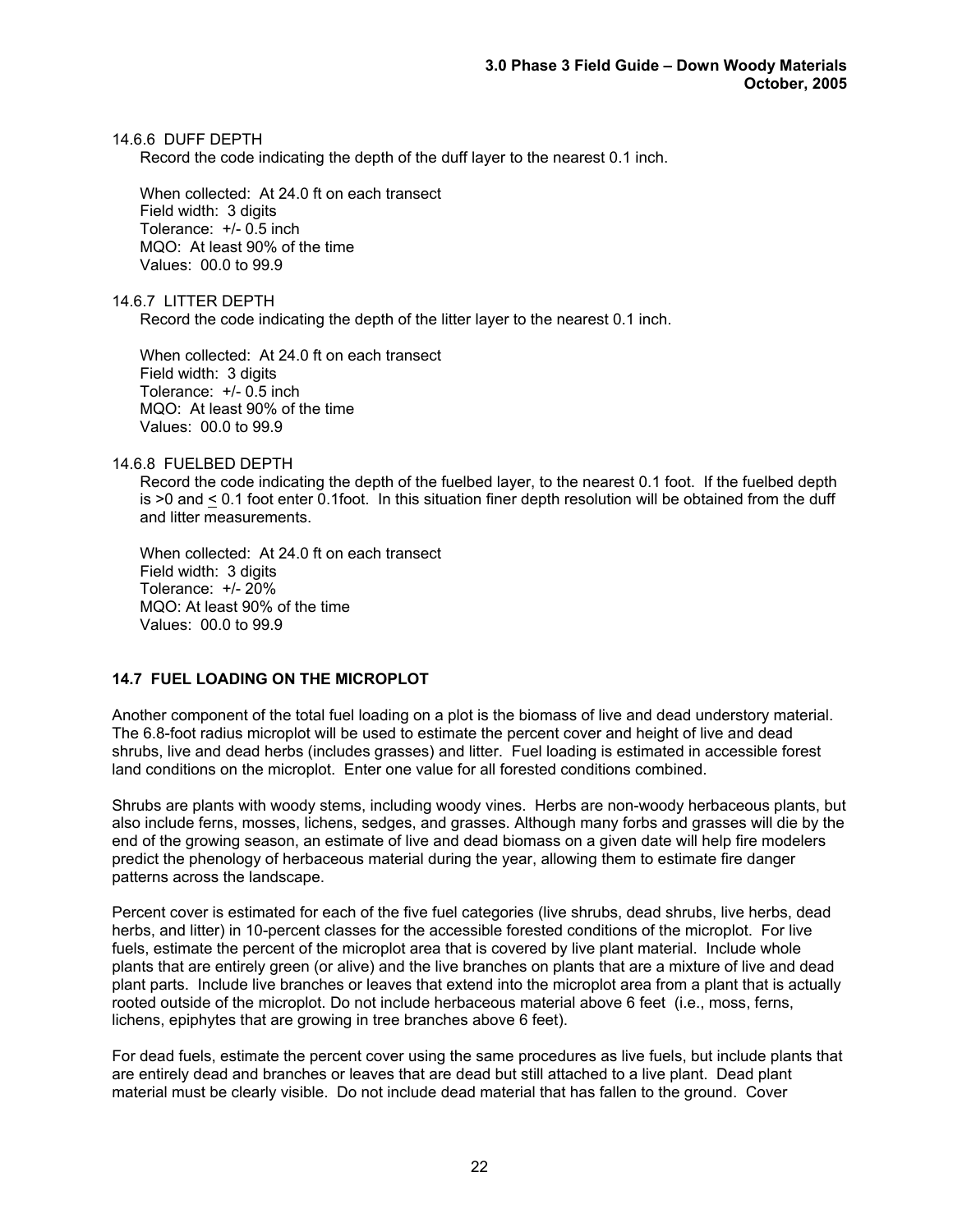#### 14.6.6 DUFF DEPTH

Record the code indicating the depth of the duff layer to the nearest 0.1 inch.

When collected: At 24.0 ft on each transect Field width: 3 digits Tolerance: +/- 0.5 inch MQO: At least 90% of the time Values: 00.0 to 99.9

14.6.7 LITTER DEPTH

Record the code indicating the depth of the litter layer to the nearest 0.1 inch.

When collected: At 24.0 ft on each transect Field width: 3 digits Tolerance: +/- 0.5 inch MQO: At least 90% of the time Values: 00.0 to 99.9

14.6.8 FUELBED DEPTH

Record the code indicating the depth of the fuelbed layer, to the nearest 0.1 foot. If the fuelbed depth is >0 and < 0.1 foot enter 0.1foot. In this situation finer depth resolution will be obtained from the duff and litter measurements.

When collected: At 24.0 ft on each transect Field width: 3 digits Tolerance: +/- 20% MQO: At least 90% of the time Values: 00.0 to 99.9

## **14.7 FUEL LOADING ON THE MICROPLOT**

Another component of the total fuel loading on a plot is the biomass of live and dead understory material. The 6.8-foot radius microplot will be used to estimate the percent cover and height of live and dead shrubs, live and dead herbs (includes grasses) and litter. Fuel loading is estimated in accessible forest land conditions on the microplot. Enter one value for all forested conditions combined.

Shrubs are plants with woody stems, including woody vines. Herbs are non-woody herbaceous plants, but also include ferns, mosses, lichens, sedges, and grasses. Although many forbs and grasses will die by the end of the growing season, an estimate of live and dead biomass on a given date will help fire modelers predict the phenology of herbaceous material during the year, allowing them to estimate fire danger patterns across the landscape.

Percent cover is estimated for each of the five fuel categories (live shrubs, dead shrubs, live herbs, dead herbs, and litter) in 10-percent classes for the accessible forested conditions of the microplot. For live fuels, estimate the percent of the microplot area that is covered by live plant material. Include whole plants that are entirely green (or alive) and the live branches on plants that are a mixture of live and dead plant parts. Include live branches or leaves that extend into the microplot area from a plant that is actually rooted outside of the microplot. Do not include herbaceous material above 6 feet (i.e., moss, ferns, lichens, epiphytes that are growing in tree branches above 6 feet).

For dead fuels, estimate the percent cover using the same procedures as live fuels, but include plants that are entirely dead and branches or leaves that are dead but still attached to a live plant. Dead plant material must be clearly visible. Do not include dead material that has fallen to the ground. Cover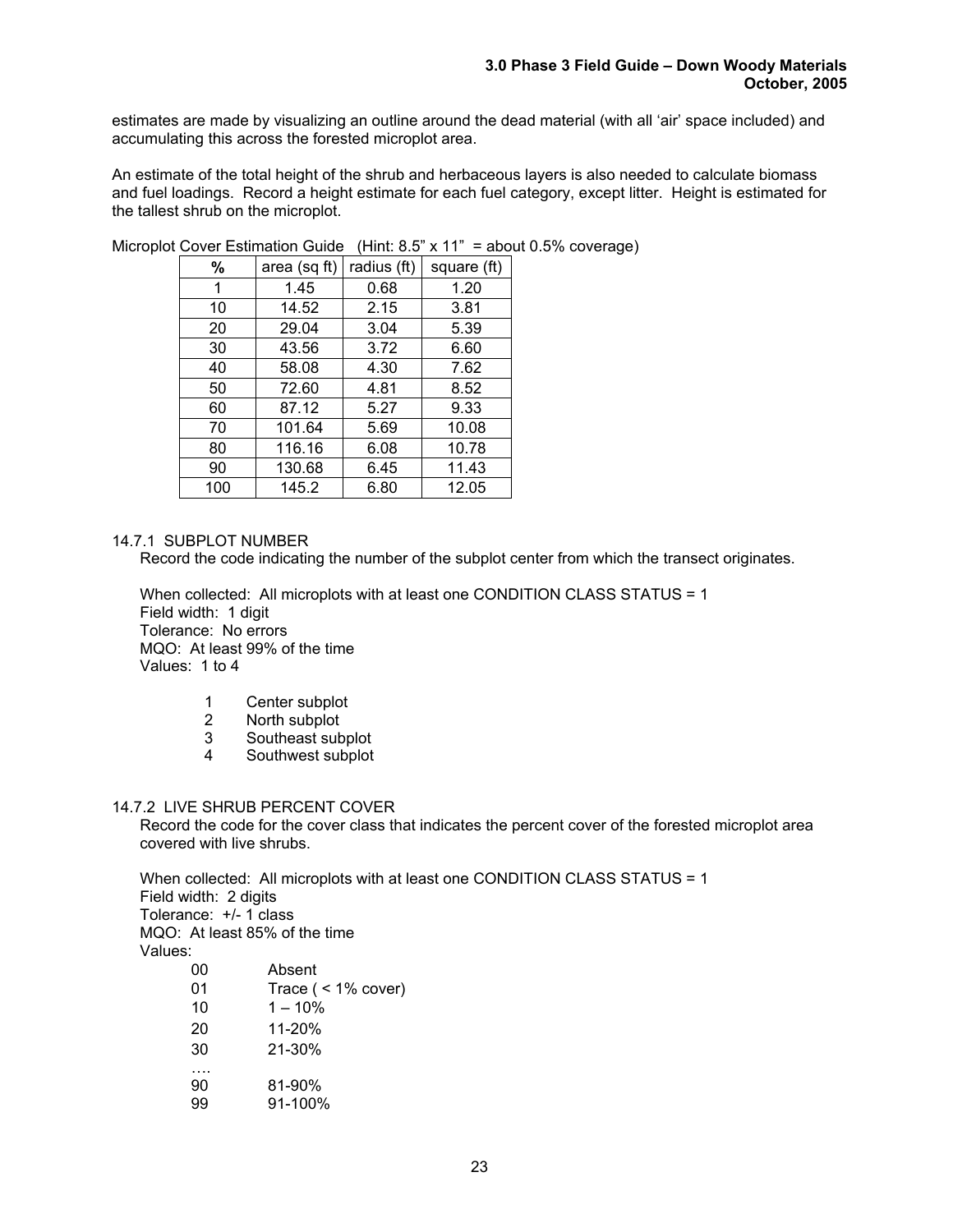estimates are made by visualizing an outline around the dead material (with all 'air' space included) and accumulating this across the forested microplot area.

An estimate of the total height of the shrub and herbaceous layers is also needed to calculate biomass and fuel loadings. Record a height estimate for each fuel category, except litter. Height is estimated for the tallest shrub on the microplot.

|     | OUVUL LUMINUMU OUNUC |             | <b>AII</b><br>uvv |
|-----|----------------------|-------------|-------------------|
| %   | area (sq ft)         | radius (ft) | square (ft)       |
| 1   | 1.45                 | 0.68        | 1.20              |
| 10  | 14.52                | 2.15        | 3.81              |
| 20  | 29.04                | 3.04        | 5.39              |
| 30  | 43.56                | 3.72        | 6.60              |
| 40  | 58.08                | 4.30        | 7.62              |
| 50  | 72.60                | 4.81        | 8.52              |
| 60  | 87.12                | 5.27        | 9.33              |
| 70  | 101.64               | 5.69        | 10.08             |
| 80  | 116.16               | 6.08        | 10.78             |
| 90  | 130.68               | 6.45        | 11.43             |
| 100 | 145.2                | 6.80        | 12.05             |

Microplot Cover Estimation Guide(Hint: 8.5" x 11" = about 0.5% coverage)

# 14.7.1 SUBPLOT NUMBER

Record the code indicating the number of the subplot center from which the transect originates.

When collected: All microplots with at least one CONDITION CLASS STATUS = 1 Field width: 1 digit Tolerance: No errors MQO: At least 99% of the time Values: 1 to 4

- 1 Center subplot<br>2 North subplot
- North subplot
- 3 Southeast subplot
- 4 Southwest subplot

#### 14.7.2 LIVE SHRUB PERCENT COVER

Record the code for the cover class that indicates the percent cover of the forested microplot area covered with live shrubs.

When collected: All microplots with at least one CONDITION CLASS STATUS = 1 Field width: 2 digits Tolerance: +/- 1 class MQO: At least 85% of the time Values: 00 Absent 01 Trace ( < 1% cover)  $10 \t 1 - 10\%$ 20 11-20% 30 21-30%

- …. 90 81-90%
- 99 91-100%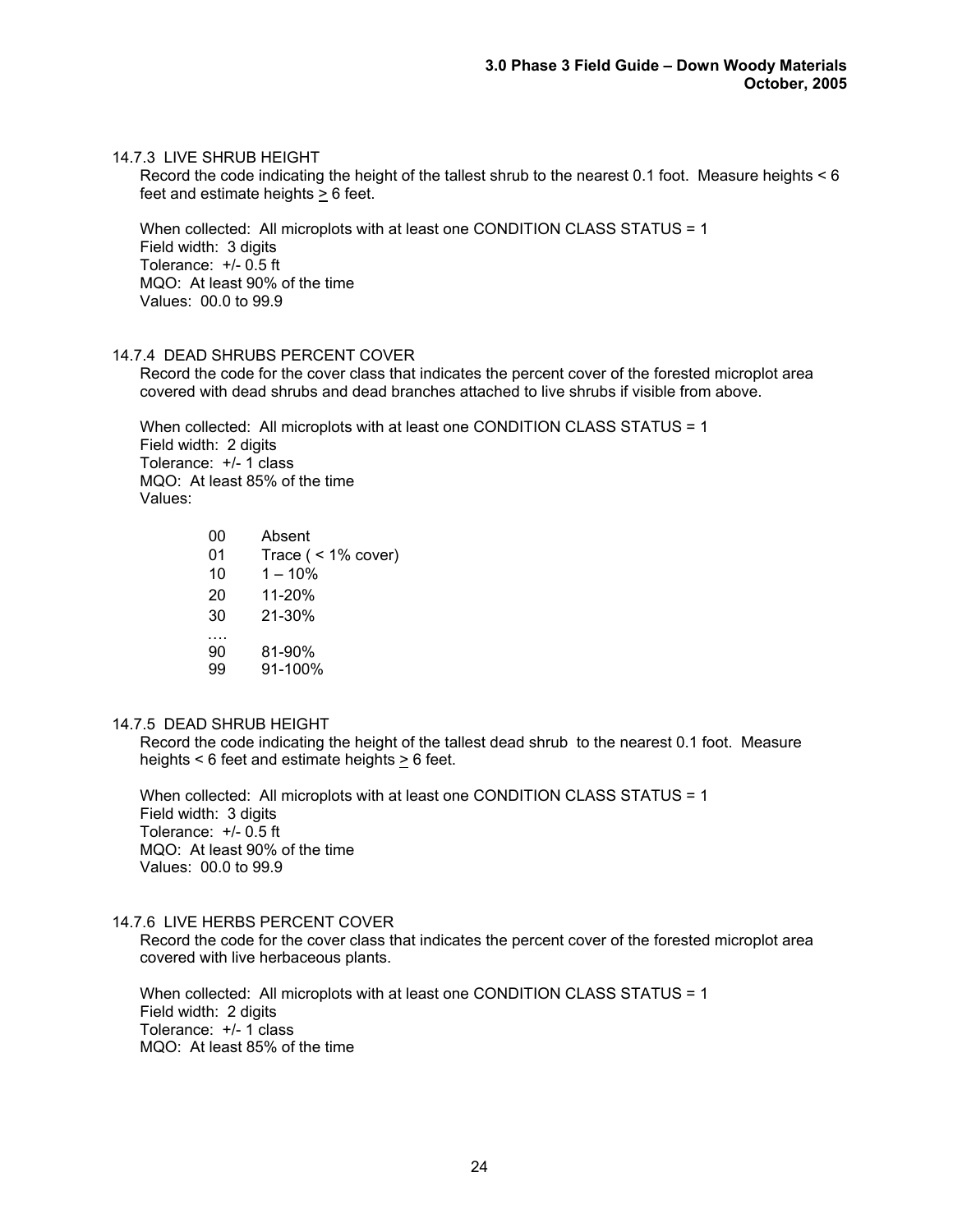#### 14.7.3 LIVE SHRUB HEIGHT

Record the code indicating the height of the tallest shrub to the nearest 0.1 foot. Measure heights < 6 feet and estimate heights > 6 feet.

When collected: All microplots with at least one CONDITION CLASS STATUS = 1 Field width: 3 digits Tolerance: +/- 0.5 ft MQO: At least 90% of the time Values: 00.0 to 99.9

#### 14.7.4 DEAD SHRUBS PERCENT COVER

Record the code for the cover class that indicates the percent cover of the forested microplot area covered with dead shrubs and dead branches attached to live shrubs if visible from above.

When collected: All microplots with at least one CONDITION CLASS STATUS = 1 Field width: 2 digits Tolerance: +/- 1 class MQO: At least 85% of the time Values:

| 00       | Absent                |
|----------|-----------------------|
| 01       | Trace $($ < 1% cover) |
| 10       | $1 - 10%$             |
| 20       | 11-20%                |
| 30       | $21 - 30%$            |
| 90<br>99 | 81-90%<br>91-100%     |

#### 14.7.5 DEAD SHRUB HEIGHT

Record the code indicating the height of the tallest dead shrub to the nearest 0.1 foot. Measure heights  $< 6$  feet and estimate heights  $> 6$  feet.

When collected: All microplots with at least one CONDITION CLASS STATUS = 1 Field width: 3 digits Tolerance: +/- 0.5 ft MQO: At least 90% of the time Values: 00.0 to 99.9

#### 14.7.6 LIVE HERBS PERCENT COVER

Record the code for the cover class that indicates the percent cover of the forested microplot area covered with live herbaceous plants.

When collected: All microplots with at least one CONDITION CLASS STATUS = 1 Field width: 2 digits Tolerance: +/- 1 class MQO: At least 85% of the time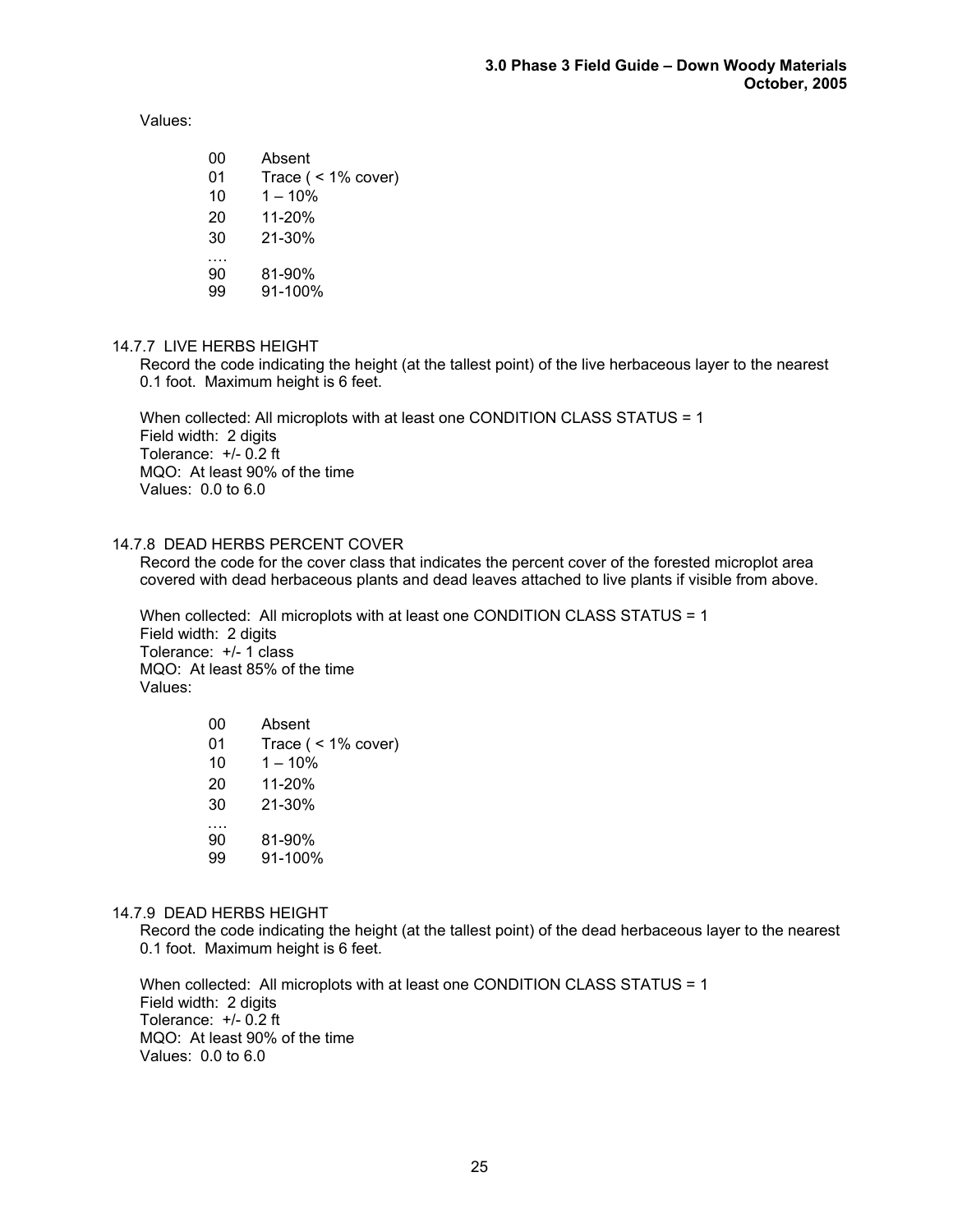Values:

- 00 Absent 01 Trace ( < 1% cover)  $10 \t 1 - 10\%$ 20 11-20% 30 21-30% ….<br>90 90 81-90%
- 99 91-100%

# 14.7.7 LIVE HERBS HEIGHT

Record the code indicating the height (at the tallest point) of the live herbaceous layer to the nearest 0.1 foot. Maximum height is 6 feet.

When collected: All microplots with at least one CONDITION CLASS STATUS = 1 Field width: 2 digits Tolerance:  $+/- 0.2$  ft MQO: At least 90% of the time Values: 0.0 to 6.0

#### 14.7.8 DEAD HERBS PERCENT COVER

Record the code for the cover class that indicates the percent cover of the forested microplot area covered with dead herbaceous plants and dead leaves attached to live plants if visible from above.

When collected: All microplots with at least one CONDITION CLASS STATUS = 1 Field width: 2 digits Tolerance: +/- 1 class MQO: At least 85% of the time Values:

| 00       | Absent                |
|----------|-----------------------|
| 01       | Trace $($ < 1% cover) |
| 10       | $1 - 10%$             |
| 20       | 11-20%                |
| 30       | 21-30%                |
| 90<br>99 | 81-90%<br>91-100%     |

#### 14.7.9 DEAD HERBS HEIGHT

Record the code indicating the height (at the tallest point) of the dead herbaceous layer to the nearest 0.1 foot. Maximum height is 6 feet.

When collected: All microplots with at least one CONDITION CLASS STATUS = 1 Field width: 2 digits Tolerance: +/- 0.2 ft MQO: At least 90% of the time Values: 0.0 to 6.0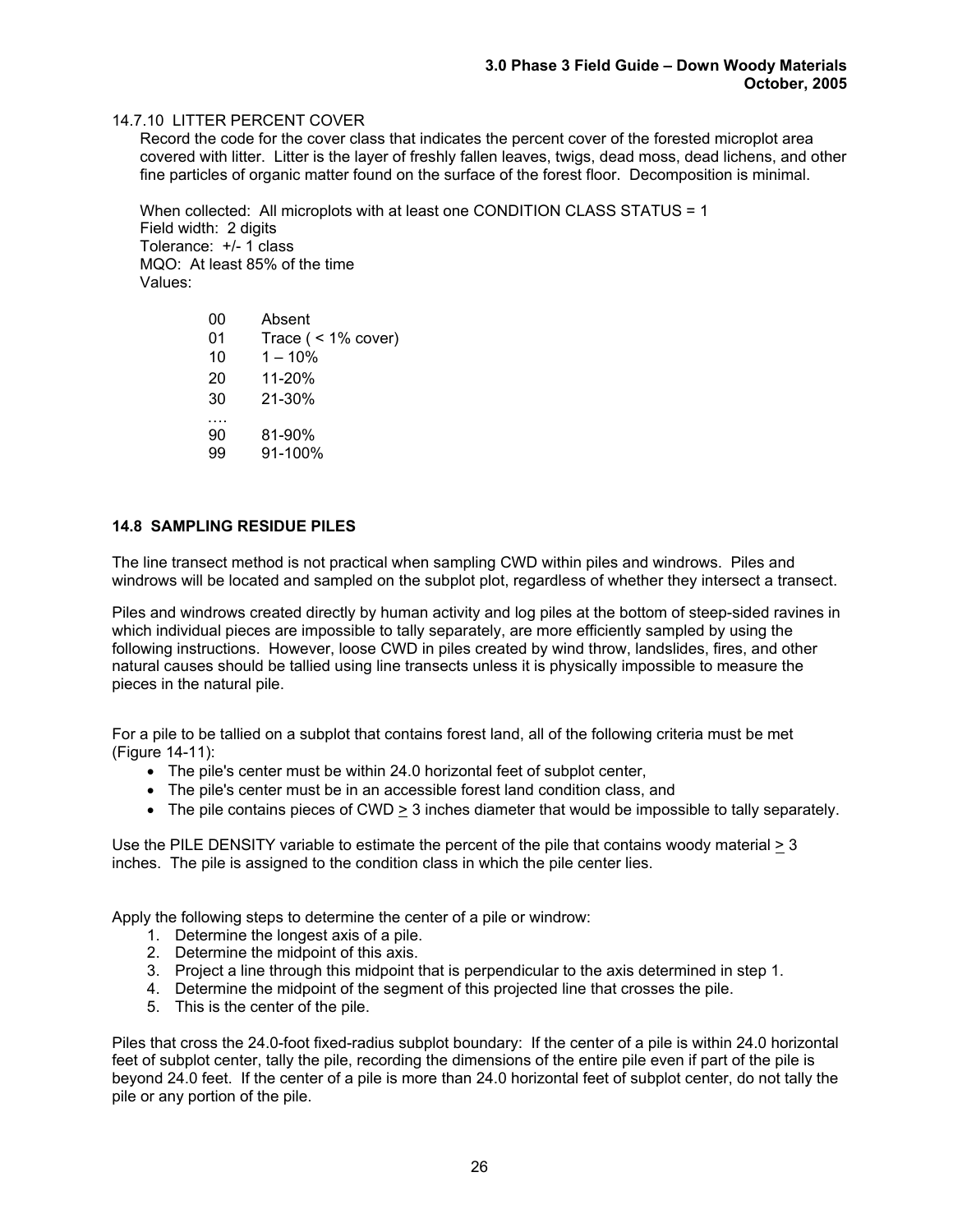## 14.7.10 LITTER PERCENT COVER

Record the code for the cover class that indicates the percent cover of the forested microplot area covered with litter. Litter is the layer of freshly fallen leaves, twigs, dead moss, dead lichens, and other fine particles of organic matter found on the surface of the forest floor. Decomposition is minimal.

When collected: All microplots with at least one CONDITION CLASS STATUS = 1 Field width: 2 digits Tolerance: +/- 1 class MQO: At least 85% of the time Values:

> 00 Absent 01 Trace ( < 1% cover)  $10 \t 1 - 10\%$ 20 11-20% 30 21-30% …. 90 81-90% 99 91-100%

#### **14.8 SAMPLING RESIDUE PILES**

The line transect method is not practical when sampling CWD within piles and windrows. Piles and windrows will be located and sampled on the subplot plot, regardless of whether they intersect a transect.

Piles and windrows created directly by human activity and log piles at the bottom of steep-sided ravines in which individual pieces are impossible to tally separately, are more efficiently sampled by using the following instructions. However, loose CWD in piles created by wind throw, landslides, fires, and other natural causes should be tallied using line transects unless it is physically impossible to measure the pieces in the natural pile.

For a pile to be tallied on a subplot that contains forest land, all of the following criteria must be met (Figure 14-11):

- The pile's center must be within 24.0 horizontal feet of subplot center,
- The pile's center must be in an accessible forest land condition class, and
- The pile contains pieces of CWD > 3 inches diameter that would be impossible to tally separately.

Use the PILE DENSITY variable to estimate the percent of the pile that contains woody material > 3 inches. The pile is assigned to the condition class in which the pile center lies.

Apply the following steps to determine the center of a pile or windrow:

- 1. Determine the longest axis of a pile.
- 2. Determine the midpoint of this axis.
- 3. Project a line through this midpoint that is perpendicular to the axis determined in step 1.
- 4. Determine the midpoint of the segment of this projected line that crosses the pile.
- 5. This is the center of the pile.

Piles that cross the 24.0-foot fixed-radius subplot boundary: If the center of a pile is within 24.0 horizontal feet of subplot center, tally the pile, recording the dimensions of the entire pile even if part of the pile is beyond 24.0 feet. If the center of a pile is more than 24.0 horizontal feet of subplot center, do not tally the pile or any portion of the pile.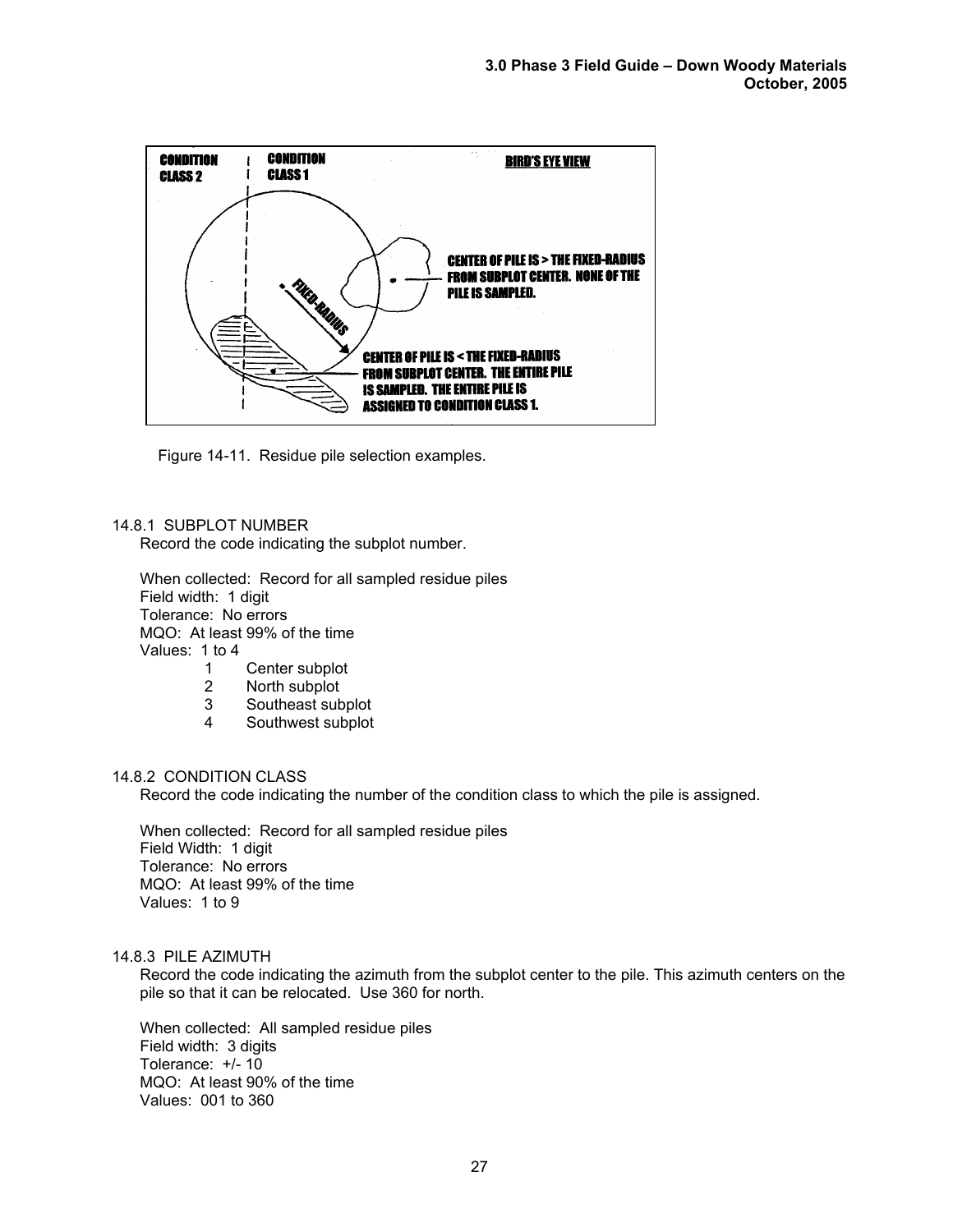

Figure 14-11. Residue pile selection examples.

#### 14.8.1 SUBPLOT NUMBER

Record the code indicating the subplot number.

When collected: Record for all sampled residue piles Field width: 1 digit Tolerance: No errors MQO: At least 99% of the time Values: 1 to 4

- 1 Center subplot
- 2 North subplot
- 3 Southeast subplot
- 4 Southwest subplot

#### 14.8.2 CONDITION CLASS

Record the code indicating the number of the condition class to which the pile is assigned.

When collected: Record for all sampled residue piles Field Width: 1 digit Tolerance: No errors MQO: At least 99% of the time Values: 1 to 9

#### 14.8.3 PILE AZIMUTH

Record the code indicating the azimuth from the subplot center to the pile. This azimuth centers on the pile so that it can be relocated. Use 360 for north.

When collected: All sampled residue piles Field width: 3 digits Tolerance: +/- 10 MQO: At least 90% of the time Values: 001 to 360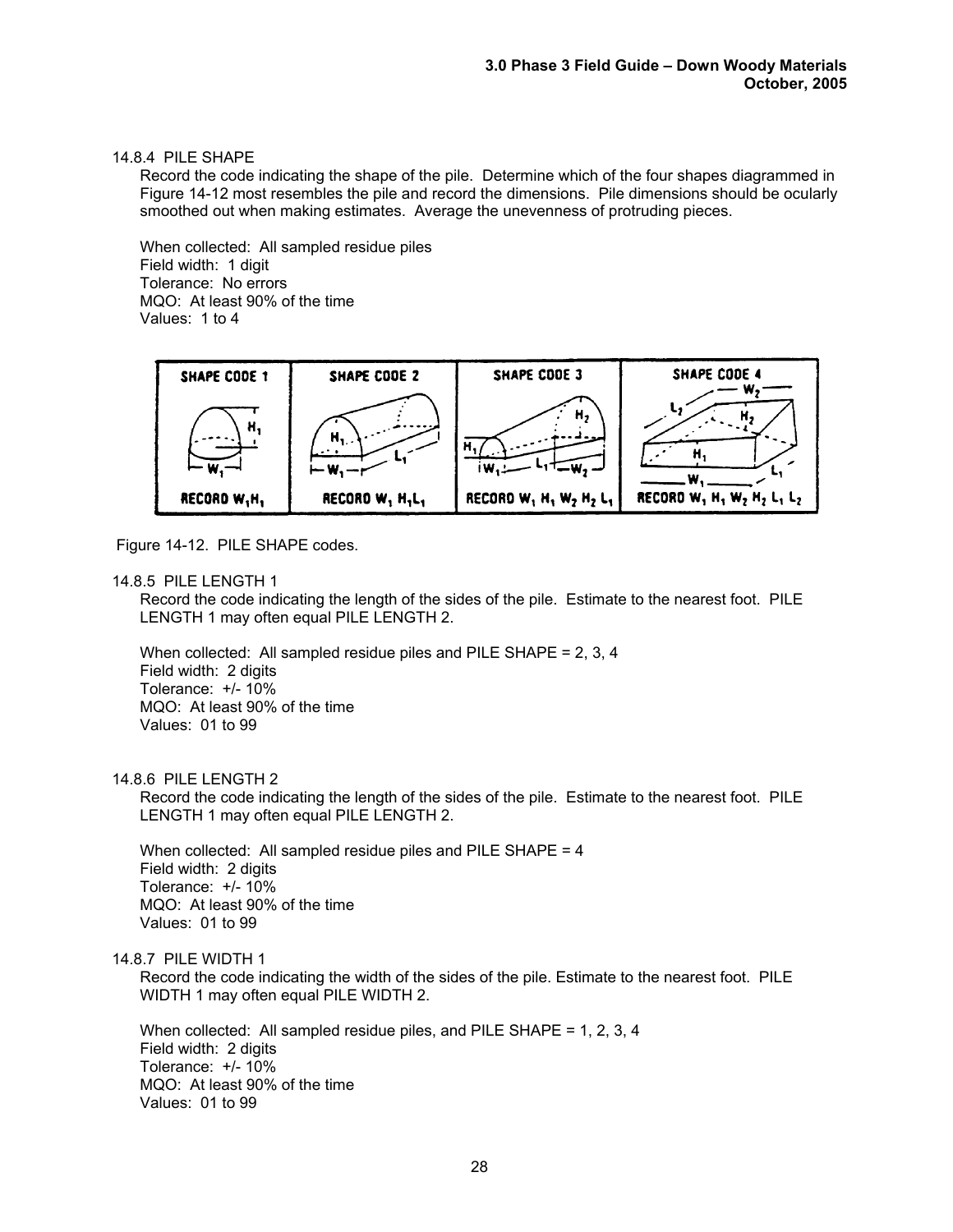## 14.8.4 PILE SHAPE

Record the code indicating the shape of the pile. Determine which of the four shapes diagrammed in Figure 14-12 most resembles the pile and record the dimensions. Pile dimensions should be ocularly smoothed out when making estimates. Average the unevenness of protruding pieces.

When collected: All sampled residue piles Field width: 1 digit Tolerance: No errors MQO: At least 90% of the time Values: 1 to 4



Figure 14-12. PILE SHAPE codes.

#### 14.8.5 PILE LENGTH 1

Record the code indicating the length of the sides of the pile. Estimate to the nearest foot. PILE LENGTH 1 may often equal PILE LENGTH 2.

When collected: All sampled residue piles and PILE SHAPE = 2, 3, 4 Field width: 2 digits Tolerance: +/- 10% MQO: At least 90% of the time Values: 01 to 99

#### 14.8.6 PILE LENGTH 2

Record the code indicating the length of the sides of the pile. Estimate to the nearest foot. PILE LENGTH 1 may often equal PILE LENGTH 2.

When collected: All sampled residue piles and PILE SHAPE = 4 Field width: 2 digits Tolerance: +/- 10% MQO: At least 90% of the time Values: 01 to 99

#### 14.8.7 PILE WIDTH 1

Record the code indicating the width of the sides of the pile. Estimate to the nearest foot. PILE WIDTH 1 may often equal PILE WIDTH 2.

When collected: All sampled residue piles, and PILE SHAPE = 1, 2, 3, 4 Field width: 2 digits Tolerance: +/- 10% MQO: At least 90% of the time Values: 01 to 99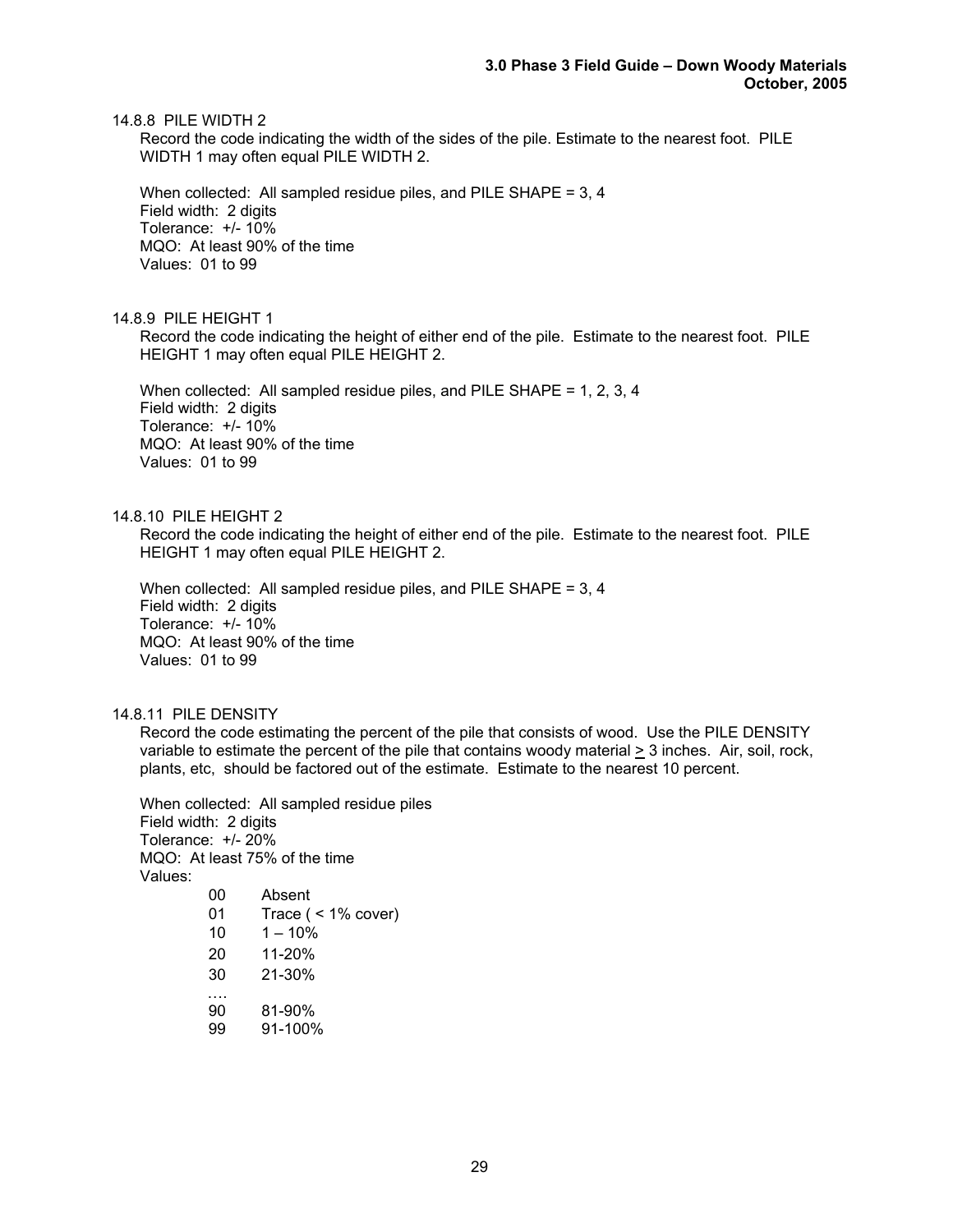14.8.8 PILE WIDTH 2

Record the code indicating the width of the sides of the pile. Estimate to the nearest foot. PILE WIDTH 1 may often equal PILE WIDTH 2.

When collected: All sampled residue piles, and PILE SHAPE = 3, 4 Field width: 2 digits Tolerance: +/- 10% MQO: At least 90% of the time Values: 01 to 99

#### 14.8.9 PILE HEIGHT 1

Record the code indicating the height of either end of the pile. Estimate to the nearest foot. PILE HEIGHT 1 may often equal PILE HEIGHT 2.

When collected: All sampled residue piles, and PILE SHAPE = 1, 2, 3, 4 Field width: 2 digits Tolerance: +/- 10% MQO: At least 90% of the time Values: 01 to 99

14.8.10 PILE HEIGHT 2

Record the code indicating the height of either end of the pile. Estimate to the nearest foot. PILE HEIGHT 1 may often equal PILE HEIGHT 2.

When collected: All sampled residue piles, and PILE SHAPE = 3, 4 Field width: 2 digits Tolerance: +/- 10% MQO: At least 90% of the time Values: 01 to 99

#### 14.8.11 PILE DENSITY

Record the code estimating the percent of the pile that consists of wood. Use the PILE DENSITY variable to estimate the percent of the pile that contains woody material > 3 inches. Air, soil, rock, plants, etc, should be factored out of the estimate. Estimate to the nearest 10 percent.

When collected: All sampled residue piles Field width: 2 digits Tolerance: +/- 20% MQO: At least 75% of the time Values:

| Absent                |
|-----------------------|
| Trace $($ < 1% cover) |
| $1 - 10%$             |
| 11-20%                |
| $21 - 30%$            |
|                       |
| 81-90%                |
| 91-100%               |
|                       |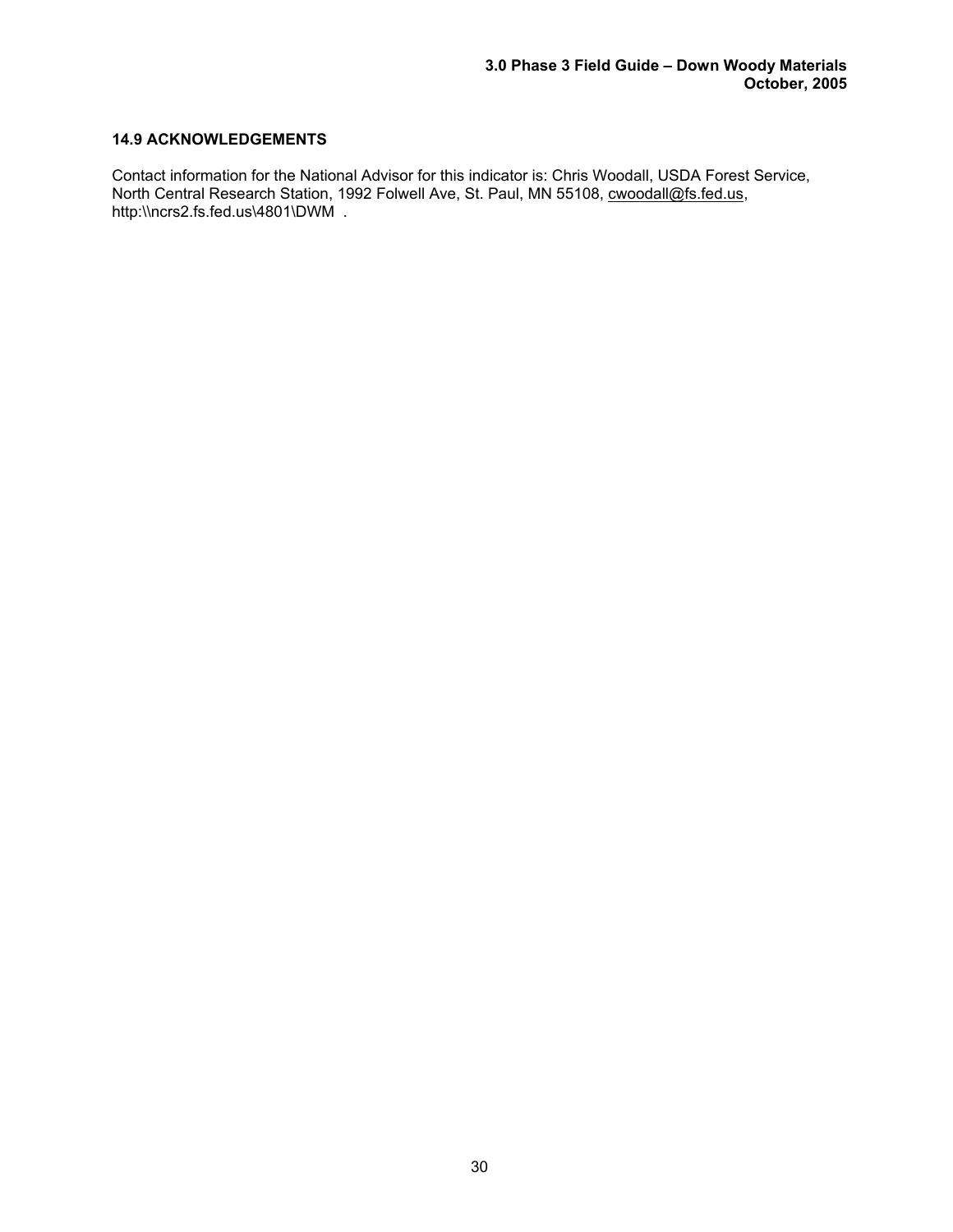# **14.9 ACKNOWLEDGEMENTS**

Contact information for the National Advisor for this indicator is: Chris Woodall, USDA Forest Service, North Central Research Station, 1992 Folwell Ave, St. Paul, MN 55108, cwoodall@fs.fed.us, http:\\ncrs2.fs.fed.us\4801\DWM .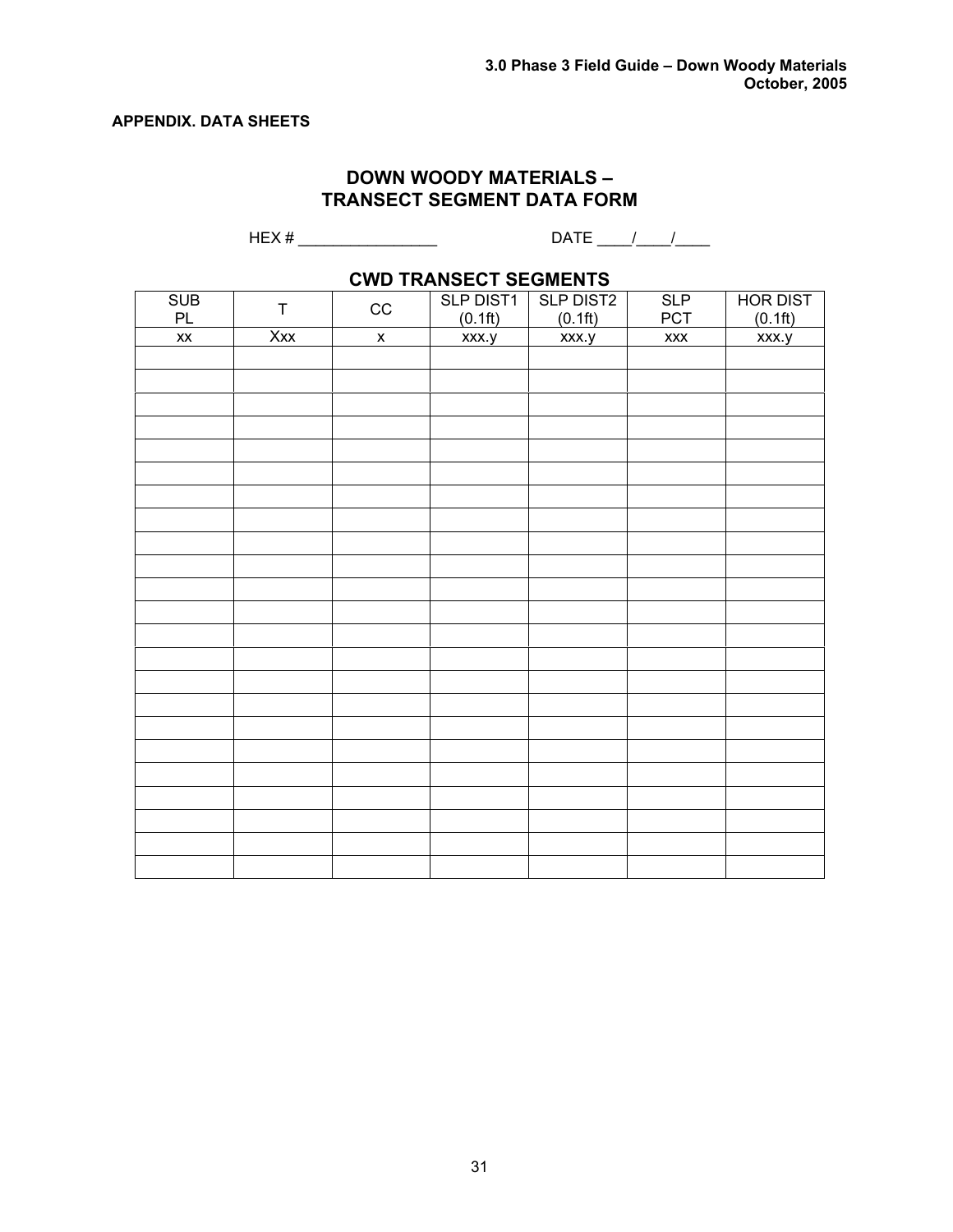# **APPENDIX. DATA SHEETS**

# **DOWN WOODY MATERIALS – TRANSECT SEGMENT DATA FORM**

HEX # \_\_\_\_\_\_\_\_\_\_\_\_\_\_\_\_ DATE \_\_\_\_/\_\_\_\_/\_\_\_\_

# **CWD TRANSECT SEGMENTS**

| <b>SUB</b><br>PL       | $\sf T$ | $_{\rm CC}$        | <b>SLP DIST1</b><br>(0.1ft) | <b>SLP DIST2</b><br>(0.1ft) | SLP<br>PCT           | <b>HOR DIST</b><br>(0.1ft) |
|------------------------|---------|--------------------|-----------------------------|-----------------------------|----------------------|----------------------------|
| $\mathsf{X}\mathsf{X}$ | Xxx     |                    |                             |                             | $\pmb{\mathsf{XXX}}$ |                            |
|                        |         | $\pmb{\mathsf{X}}$ | xxx.y                       | xxx.y                       |                      | xxx.y                      |
|                        |         |                    |                             |                             |                      |                            |
|                        |         |                    |                             |                             |                      |                            |
|                        |         |                    |                             |                             |                      |                            |
|                        |         |                    |                             |                             |                      |                            |
|                        |         |                    |                             |                             |                      |                            |
|                        |         |                    |                             |                             |                      |                            |
|                        |         |                    |                             |                             |                      |                            |
|                        |         |                    |                             |                             |                      |                            |
|                        |         |                    |                             |                             |                      |                            |
|                        |         |                    |                             |                             |                      |                            |
|                        |         |                    |                             |                             |                      |                            |
|                        |         |                    |                             |                             |                      |                            |
|                        |         |                    |                             |                             |                      |                            |
|                        |         |                    |                             |                             |                      |                            |
|                        |         |                    |                             |                             |                      |                            |
|                        |         |                    |                             |                             |                      |                            |
|                        |         |                    |                             |                             |                      |                            |
|                        |         |                    |                             |                             |                      |                            |
|                        |         |                    |                             |                             |                      |                            |
|                        |         |                    |                             |                             |                      |                            |
|                        |         |                    |                             |                             |                      |                            |
|                        |         |                    |                             |                             |                      |                            |
|                        |         |                    |                             |                             |                      |                            |
|                        |         |                    |                             |                             |                      |                            |
|                        |         |                    |                             |                             |                      |                            |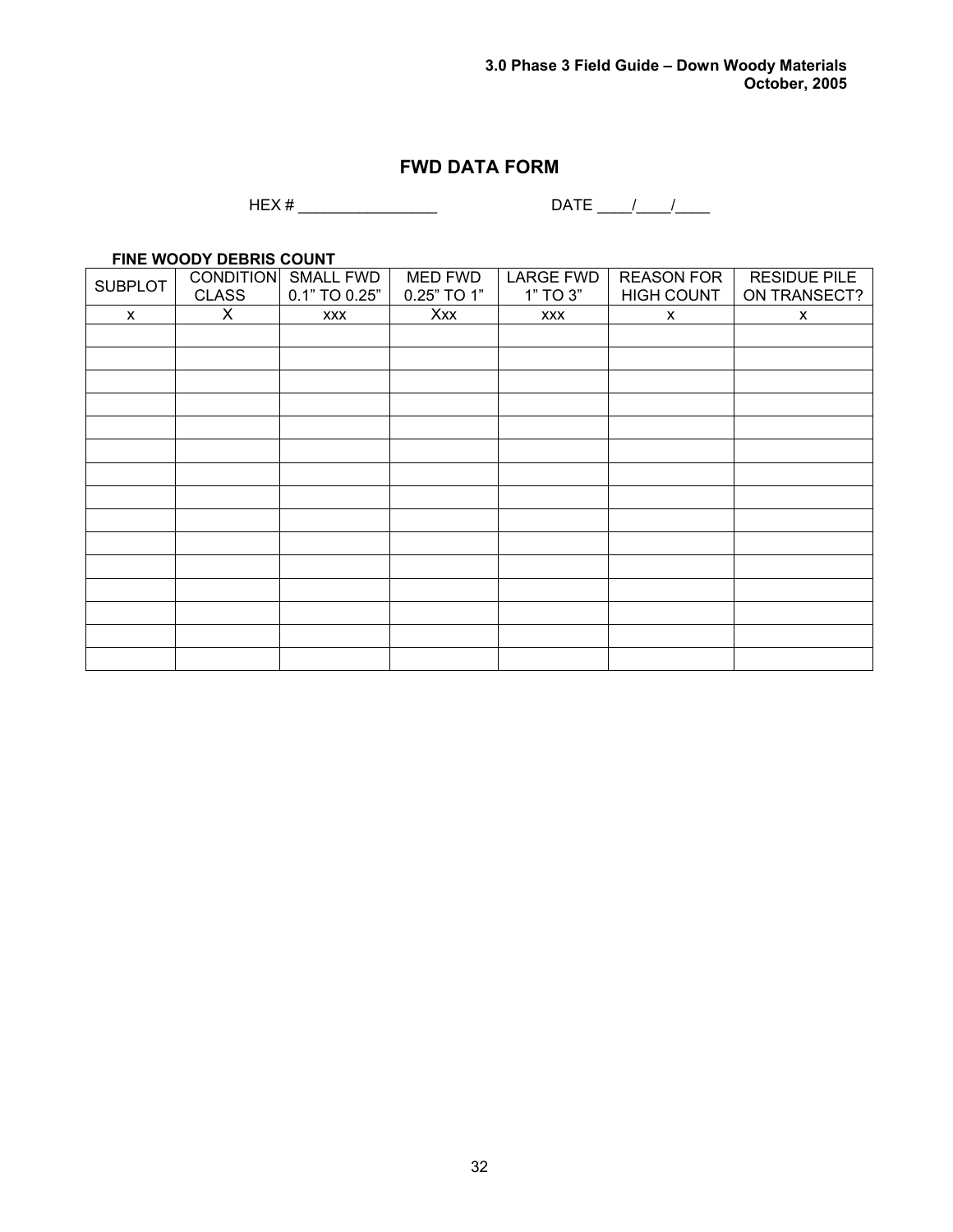# **FWD DATA FORM**

HEX # \_\_\_\_\_\_\_\_\_\_\_\_\_\_\_\_ DATE \_\_\_\_/\_\_\_\_/\_\_\_\_

**FINE WOODY DEBRIS COUNT** 

| <b>SUBPLOT</b> | <b>CLASS</b> | <b>CONDITION SMALL FWD</b><br>0.1" TO 0.25" | <b>MED FWD</b><br>0.25" TO 1" | <b>LARGE FWD</b><br>1" TO 3" | <b>REASON FOR</b><br><b>HIGH COUNT</b> | <b>RESIDUE PILE</b><br>ON TRANSECT? |
|----------------|--------------|---------------------------------------------|-------------------------------|------------------------------|----------------------------------------|-------------------------------------|
| X              | X            | <b>XXX</b>                                  | Xxx                           | <b>XXX</b>                   | X                                      | $\mathsf{x}$                        |
|                |              |                                             |                               |                              |                                        |                                     |
|                |              |                                             |                               |                              |                                        |                                     |
|                |              |                                             |                               |                              |                                        |                                     |
|                |              |                                             |                               |                              |                                        |                                     |
|                |              |                                             |                               |                              |                                        |                                     |
|                |              |                                             |                               |                              |                                        |                                     |
|                |              |                                             |                               |                              |                                        |                                     |
|                |              |                                             |                               |                              |                                        |                                     |
|                |              |                                             |                               |                              |                                        |                                     |
|                |              |                                             |                               |                              |                                        |                                     |
|                |              |                                             |                               |                              |                                        |                                     |
|                |              |                                             |                               |                              |                                        |                                     |
|                |              |                                             |                               |                              |                                        |                                     |
|                |              |                                             |                               |                              |                                        |                                     |
|                |              |                                             |                               |                              |                                        |                                     |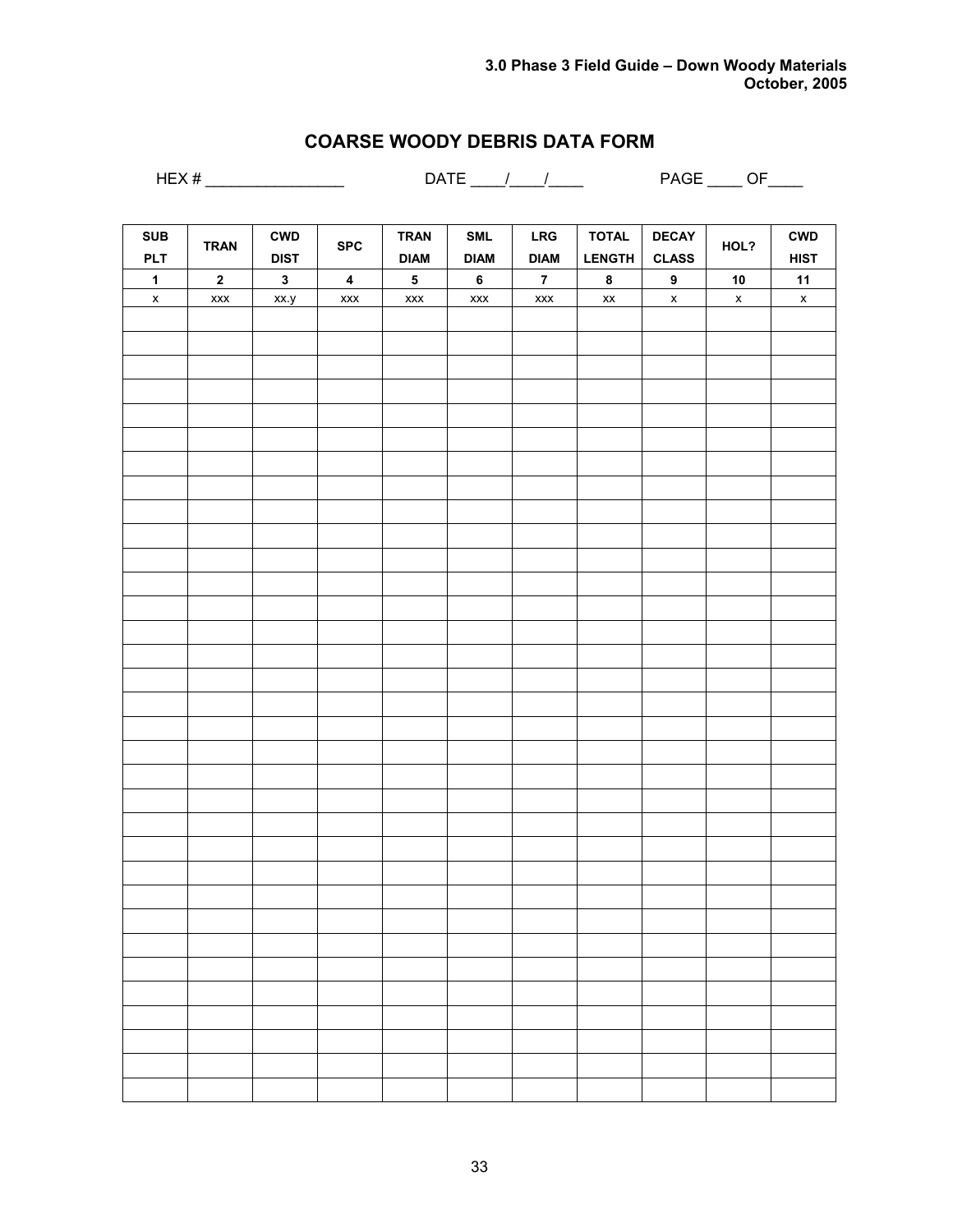# **COARSE WOODY DEBRIS DATA FORM**

HEX # \_\_\_\_\_\_\_\_\_\_\_\_\_\_\_\_ DATE \_\_\_\_/\_\_\_\_/\_\_\_\_ PAGE \_\_\_\_ OF\_\_\_\_

| SUB                | <b>TRAN</b>                                                        | $\mathsf{CWD}$ | <b>SPC</b>              | <b>TRAN</b>                                                        | $\ensuremath{\mathsf{SML}}$ | ${\sf LRG}$             | <b>TOTAL</b>                       | <b>DECAY</b>              | HOL?                      | <b>CWD</b>                |
|--------------------|--------------------------------------------------------------------|----------------|-------------------------|--------------------------------------------------------------------|-----------------------------|-------------------------|------------------------------------|---------------------------|---------------------------|---------------------------|
| <b>PLT</b>         |                                                                    | <b>DIST</b>    |                         | <b>DIAM</b>                                                        | <b>DIAM</b>                 | <b>DIAM</b>             | <b>LENGTH</b>                      | <b>CLASS</b>              |                           | <b>HIST</b>               |
| $\mathbf{1}$       | $\mathbf 2$                                                        | $\mathbf{3}$   | $\overline{\mathbf{4}}$ | ${\bf 5}$                                                          | $\bf 6$                     | $\overline{\mathbf{7}}$ | $\pmb{8}$                          | $\pmb{9}$                 | ${\bf 10}$                | 11                        |
| $\pmb{\mathsf{x}}$ | $\pmb{\mathsf{x}}\pmb{\mathsf{x}}\pmb{\mathsf{x}}\pmb{\mathsf{x}}$ | xx.y           | $\pmb{\mathsf{XXX}}$    | $\pmb{\mathsf{x}}\pmb{\mathsf{x}}\pmb{\mathsf{x}}\pmb{\mathsf{x}}$ | $\pmb{\mathsf{XXX}}$        | $\pmb{\mathsf{XXX}}$    | $\pmb{\mathsf{x}}\pmb{\mathsf{x}}$ | $\boldsymbol{\mathsf{x}}$ | $\boldsymbol{\mathsf{x}}$ | $\boldsymbol{\mathsf{x}}$ |
|                    |                                                                    |                |                         |                                                                    |                             |                         |                                    |                           |                           |                           |
|                    |                                                                    |                |                         |                                                                    |                             |                         |                                    |                           |                           |                           |
|                    |                                                                    |                |                         |                                                                    |                             |                         |                                    |                           |                           |                           |
|                    |                                                                    |                |                         |                                                                    |                             |                         |                                    |                           |                           |                           |
|                    |                                                                    |                |                         |                                                                    |                             |                         |                                    |                           |                           |                           |
|                    |                                                                    |                |                         |                                                                    |                             |                         |                                    |                           |                           |                           |
|                    |                                                                    |                |                         |                                                                    |                             |                         |                                    |                           |                           |                           |
|                    |                                                                    |                |                         |                                                                    |                             |                         |                                    |                           |                           |                           |
|                    |                                                                    |                |                         |                                                                    |                             |                         |                                    |                           |                           |                           |
|                    |                                                                    |                |                         |                                                                    |                             |                         |                                    |                           |                           |                           |
|                    |                                                                    |                |                         |                                                                    |                             |                         |                                    |                           |                           |                           |
|                    |                                                                    |                |                         |                                                                    |                             |                         |                                    |                           |                           |                           |
|                    |                                                                    |                |                         |                                                                    |                             |                         |                                    |                           |                           |                           |
|                    |                                                                    |                |                         |                                                                    |                             |                         |                                    |                           |                           |                           |
|                    |                                                                    |                |                         |                                                                    |                             |                         |                                    |                           |                           |                           |
|                    |                                                                    |                |                         |                                                                    |                             |                         |                                    |                           |                           |                           |
|                    |                                                                    |                |                         |                                                                    |                             |                         |                                    |                           |                           |                           |
|                    |                                                                    |                |                         |                                                                    |                             |                         |                                    |                           |                           |                           |
|                    |                                                                    |                |                         |                                                                    |                             |                         |                                    |                           |                           |                           |
|                    |                                                                    |                |                         |                                                                    |                             |                         |                                    |                           |                           |                           |
|                    |                                                                    |                |                         |                                                                    |                             |                         |                                    |                           |                           |                           |
|                    |                                                                    |                |                         |                                                                    |                             |                         |                                    |                           |                           |                           |
|                    |                                                                    |                |                         |                                                                    |                             |                         |                                    |                           |                           |                           |
|                    |                                                                    |                |                         |                                                                    |                             |                         |                                    |                           |                           |                           |
|                    |                                                                    |                |                         |                                                                    |                             |                         |                                    |                           |                           |                           |
|                    |                                                                    |                |                         |                                                                    |                             |                         |                                    |                           |                           |                           |
|                    |                                                                    |                |                         |                                                                    |                             |                         |                                    |                           |                           |                           |
|                    |                                                                    |                |                         |                                                                    |                             |                         |                                    |                           |                           |                           |
|                    |                                                                    |                |                         |                                                                    |                             |                         |                                    |                           |                           |                           |
|                    |                                                                    |                |                         |                                                                    |                             |                         |                                    |                           |                           |                           |
|                    |                                                                    |                |                         |                                                                    |                             |                         |                                    |                           |                           |                           |
|                    |                                                                    |                |                         |                                                                    |                             |                         |                                    |                           |                           |                           |
|                    |                                                                    |                |                         |                                                                    |                             |                         |                                    |                           |                           |                           |
|                    |                                                                    |                |                         |                                                                    |                             |                         |                                    |                           |                           |                           |
|                    |                                                                    |                |                         |                                                                    |                             |                         |                                    |                           |                           |                           |
|                    |                                                                    |                |                         |                                                                    |                             |                         |                                    |                           |                           |                           |
|                    |                                                                    |                |                         |                                                                    |                             |                         |                                    |                           |                           |                           |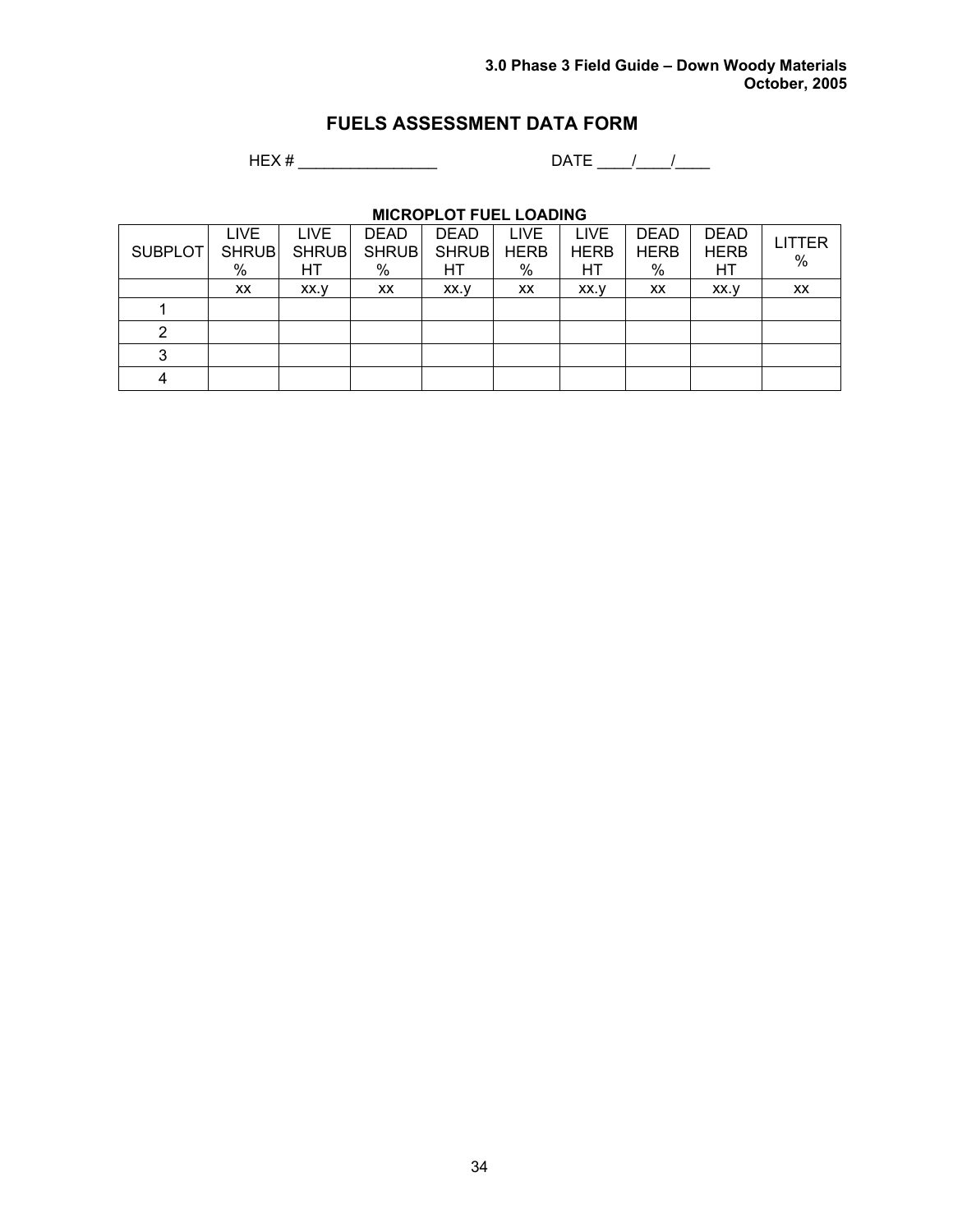# **FUELS ASSESSMENT DATA FORM**

HEX # \_\_\_\_\_\_\_\_\_\_\_\_\_\_\_\_ DATE \_\_\_\_/\_\_\_\_/\_\_\_\_

# **MICROPLOT FUEL LOADING**

| <b>SUBPLOT</b> | <b>LIVE</b><br><b>SHRUB</b><br>% | LIVE<br><b>SHRUB</b><br>НT | <b>DEAD</b><br><b>SHRUB</b><br>$\%$ | <b>DEAD</b><br><b>SHRUB</b><br>HТ | LIVE<br><b>HERB</b><br>% | <b>LIVE</b><br><b>HERB</b><br>НT | <b>DEAD</b><br><b>HERB</b><br>% | <b>DEAD</b><br><b>HERB</b><br>HТ | <b>LITTER</b><br>% |
|----------------|----------------------------------|----------------------------|-------------------------------------|-----------------------------------|--------------------------|----------------------------------|---------------------------------|----------------------------------|--------------------|
|                | XX                               | XX.V                       | XX                                  | XX.V                              | XX                       | XX.V                             | <b>XX</b>                       | XX.V                             | XX                 |
|                |                                  |                            |                                     |                                   |                          |                                  |                                 |                                  |                    |
| 2              |                                  |                            |                                     |                                   |                          |                                  |                                 |                                  |                    |
| 3              |                                  |                            |                                     |                                   |                          |                                  |                                 |                                  |                    |
|                |                                  |                            |                                     |                                   |                          |                                  |                                 |                                  |                    |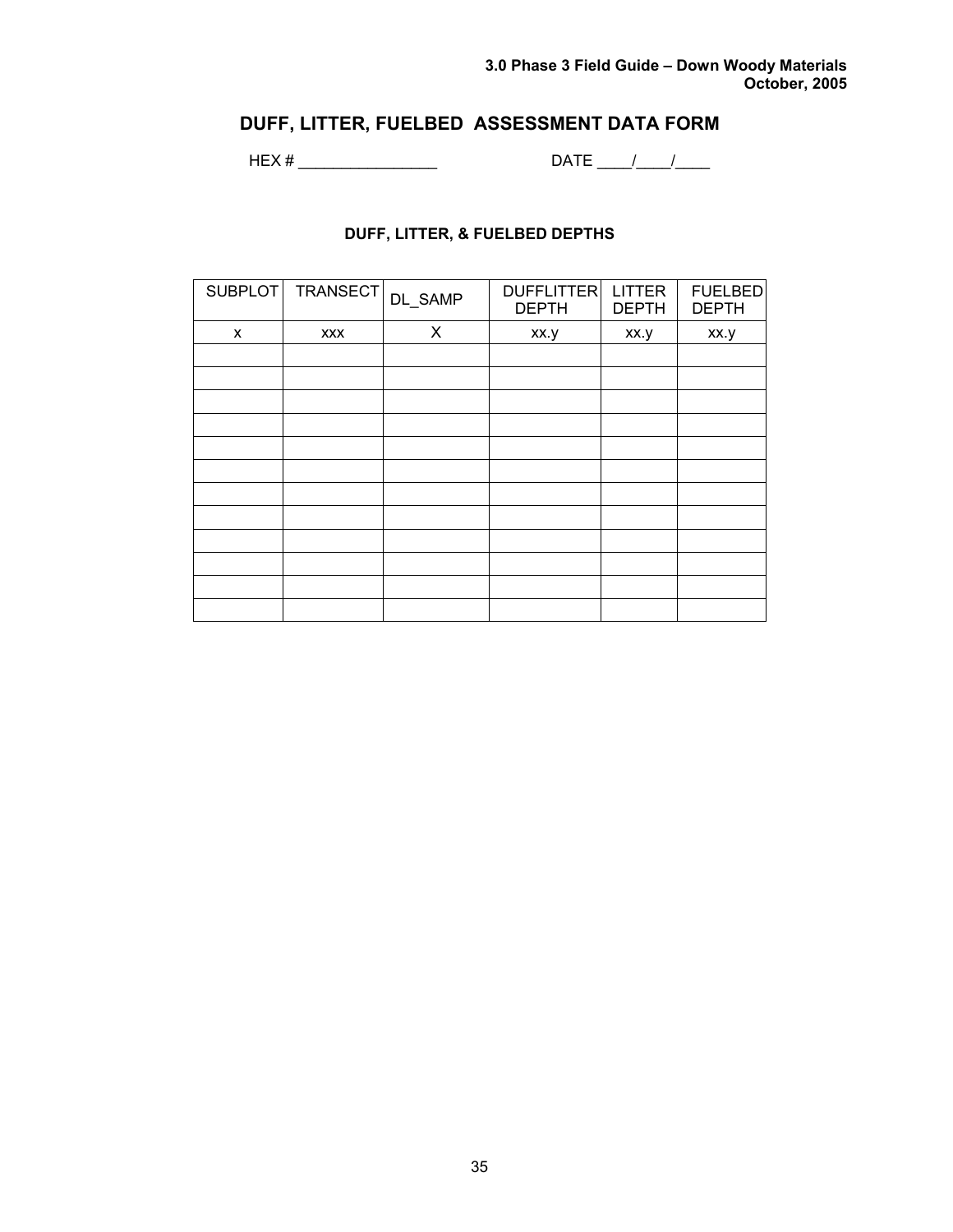# **DUFF, LITTER, FUELBED ASSESSMENT DATA FORM**

HEX # \_\_\_\_\_\_\_\_\_\_\_\_\_\_\_\_ DATE \_\_\_\_/\_\_\_\_/\_\_\_\_

# **DUFF, LITTER, & FUELBED DEPTHS**

| SUBPLOT | TRANSECT   | DL_SAMP | DUFFLITTER<br><b>DEPTH</b> | <b>LITTER</b><br><b>DEPTH</b> | <b>FUELBED</b><br><b>DEPTH</b> |
|---------|------------|---------|----------------------------|-------------------------------|--------------------------------|
| X       | <b>XXX</b> | X       | xx.y                       | xx.y                          | xx.y                           |
|         |            |         |                            |                               |                                |
|         |            |         |                            |                               |                                |
|         |            |         |                            |                               |                                |
|         |            |         |                            |                               |                                |
|         |            |         |                            |                               |                                |
|         |            |         |                            |                               |                                |
|         |            |         |                            |                               |                                |
|         |            |         |                            |                               |                                |
|         |            |         |                            |                               |                                |
|         |            |         |                            |                               |                                |
|         |            |         |                            |                               |                                |
|         |            |         |                            |                               |                                |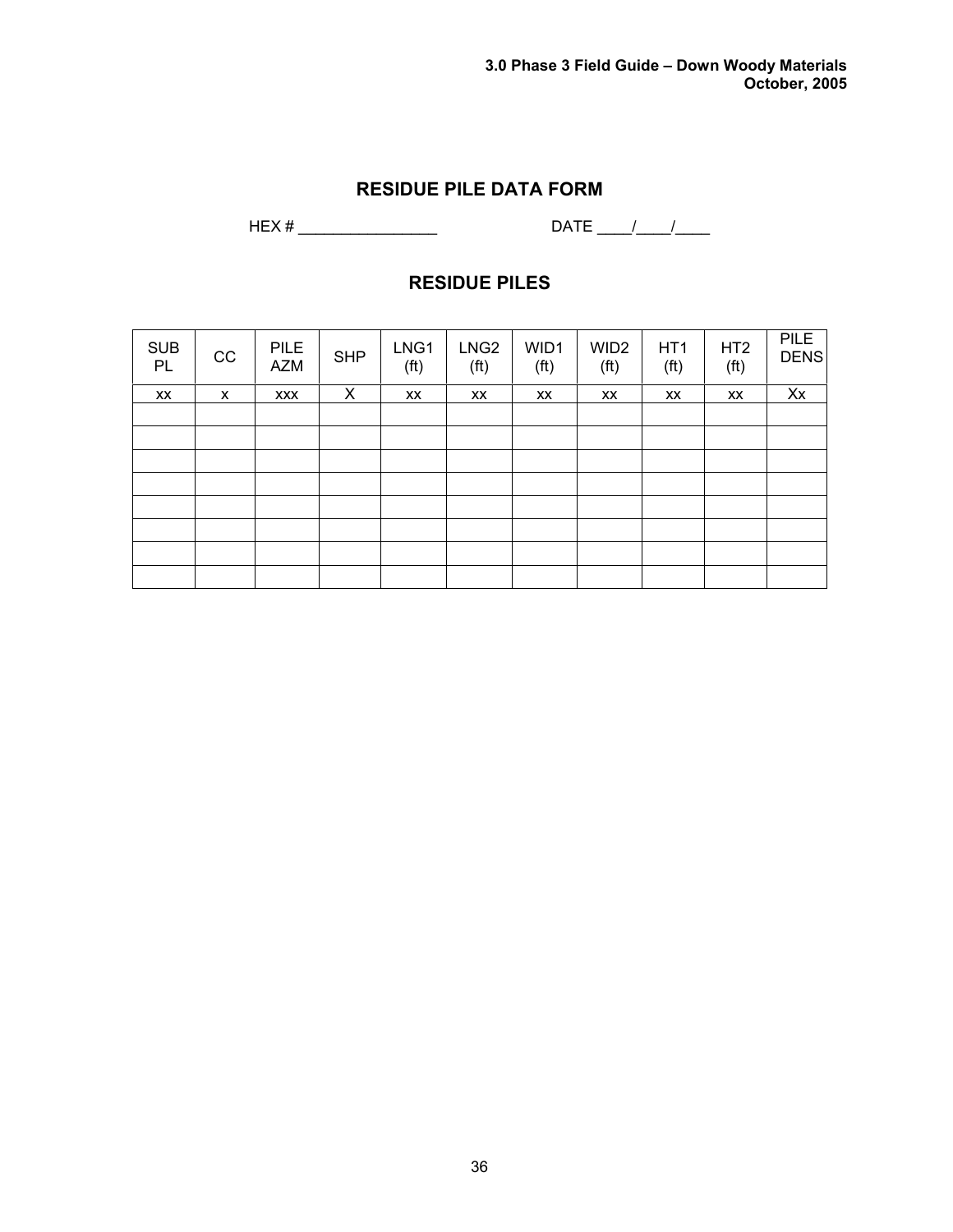# **RESIDUE PILE DATA FORM**

HEX # \_\_\_\_\_\_\_\_\_\_\_\_\_\_\_\_ DATE \_\_\_\_/\_\_\_\_/\_\_\_\_

# **RESIDUE PILES**

| <b>SUB</b><br>PL | CC | <b>PILE</b><br><b>AZM</b> | <b>SHP</b> | LNG1<br>(f <sup>t</sup> ) | LNG <sub>2</sub><br>(f <sup>t</sup> ) | WID1<br>(f <sup>t</sup> ) | WID <sub>2</sub><br>(f <sup>t</sup> ) | HT <sub>1</sub><br>(f <sup>t</sup> ) | HT <sub>2</sub><br>(f <sup>t</sup> ) | PILE<br><b>DENS</b> |
|------------------|----|---------------------------|------------|---------------------------|---------------------------------------|---------------------------|---------------------------------------|--------------------------------------|--------------------------------------|---------------------|
| XX               | X  | <b>XXX</b>                | X          | XX                        | XX                                    | XX                        | XX                                    | XX                                   | XX                                   | Xx                  |
|                  |    |                           |            |                           |                                       |                           |                                       |                                      |                                      |                     |
|                  |    |                           |            |                           |                                       |                           |                                       |                                      |                                      |                     |
|                  |    |                           |            |                           |                                       |                           |                                       |                                      |                                      |                     |
|                  |    |                           |            |                           |                                       |                           |                                       |                                      |                                      |                     |
|                  |    |                           |            |                           |                                       |                           |                                       |                                      |                                      |                     |
|                  |    |                           |            |                           |                                       |                           |                                       |                                      |                                      |                     |
|                  |    |                           |            |                           |                                       |                           |                                       |                                      |                                      |                     |
|                  |    |                           |            |                           |                                       |                           |                                       |                                      |                                      |                     |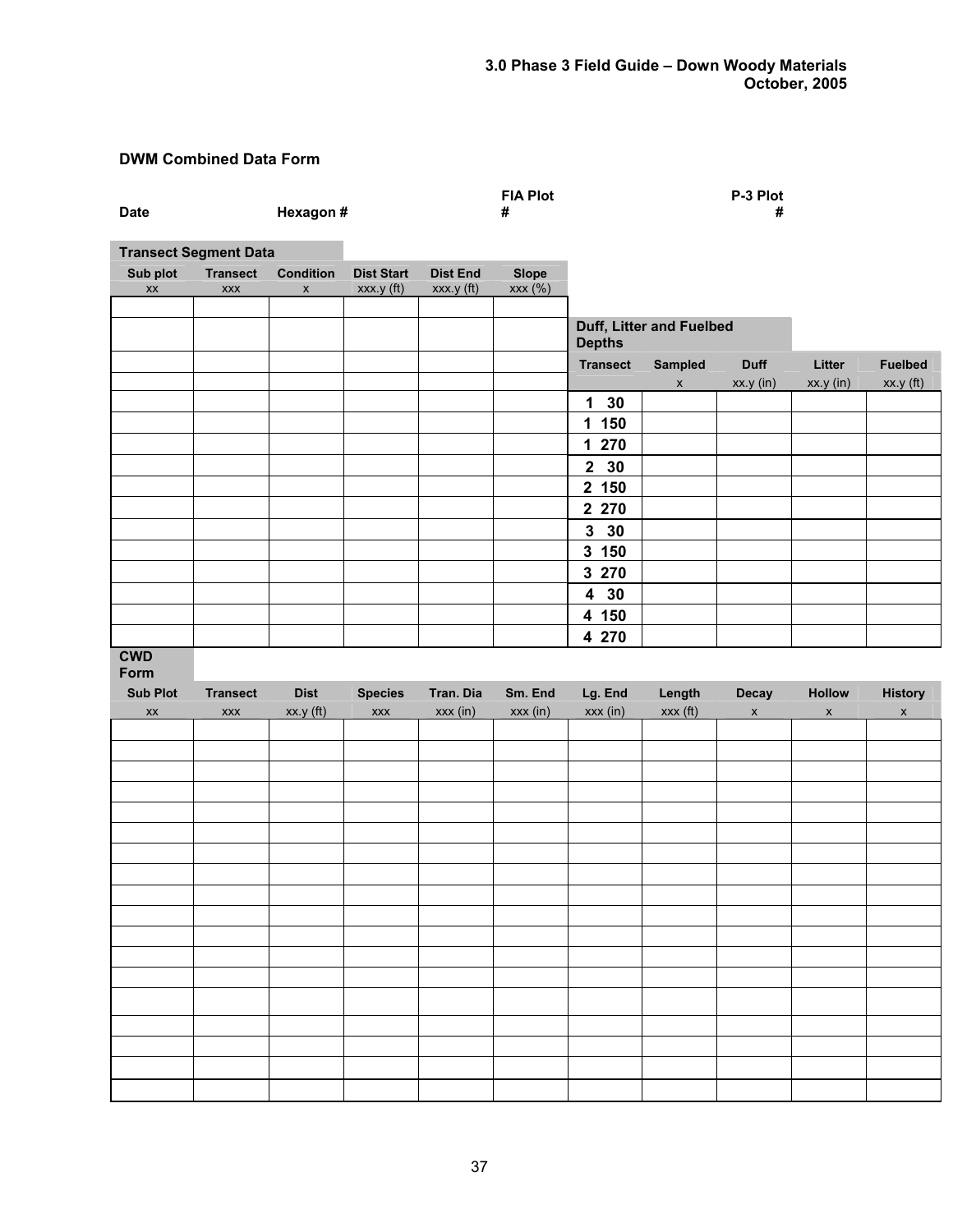# **DWM Combined Data Form**

| <b>Date</b>                        |                               | Hexagon #                                     |                                 |                               | <b>FIA Plot</b><br>#    |                 |                          | P-3 Plot<br>#      |               |                |
|------------------------------------|-------------------------------|-----------------------------------------------|---------------------------------|-------------------------------|-------------------------|-----------------|--------------------------|--------------------|---------------|----------------|
|                                    | <b>Transect Segment Data</b>  |                                               |                                 |                               |                         |                 |                          |                    |               |                |
| Sub plot<br>$\mathsf{X}\mathsf{X}$ | <b>Transect</b><br><b>XXX</b> | <b>Condition</b><br>$\boldsymbol{\mathsf{x}}$ | <b>Dist Start</b><br>xxx y (ft) | <b>Dist End</b><br>xxx.y (ft) | <b>Slope</b><br>xxx (%) |                 |                          |                    |               |                |
|                                    |                               |                                               |                                 |                               |                         |                 |                          |                    |               |                |
|                                    |                               |                                               |                                 |                               |                         | <b>Depths</b>   | Duff, Litter and Fuelbed |                    |               |                |
|                                    |                               |                                               |                                 |                               |                         | <b>Transect</b> | Sampled                  | <b>Duff</b>        | Litter        | <b>Fuelbed</b> |
|                                    |                               |                                               |                                 |                               |                         |                 | $\mathsf X$              | xx.y (in)          | xx.y (in)     | $xx.y$ (ft)    |
|                                    |                               |                                               |                                 |                               |                         | $1 30$          |                          |                    |               |                |
|                                    |                               |                                               |                                 |                               |                         | 1 150           |                          |                    |               |                |
|                                    |                               |                                               |                                 |                               |                         | 1 270           |                          |                    |               |                |
|                                    |                               |                                               |                                 |                               |                         | 2 30            |                          |                    |               |                |
|                                    |                               |                                               |                                 |                               |                         | 2 150           |                          |                    |               |                |
|                                    |                               |                                               |                                 |                               |                         | 2 270           |                          |                    |               |                |
|                                    |                               |                                               |                                 |                               |                         | $3\quad30$      |                          |                    |               |                |
|                                    |                               |                                               |                                 |                               |                         | 3 150           |                          |                    |               |                |
|                                    |                               |                                               |                                 |                               |                         | 3 270           |                          |                    |               |                |
|                                    |                               |                                               |                                 |                               |                         | 4 30            |                          |                    |               |                |
|                                    |                               |                                               |                                 |                               |                         | 4 150           |                          |                    |               |                |
|                                    |                               |                                               |                                 |                               |                         | 4 270           |                          |                    |               |                |
|                                    |                               |                                               |                                 |                               |                         |                 |                          |                    |               |                |
| <b>CWD</b><br>Form                 |                               |                                               |                                 |                               |                         |                 |                          |                    |               |                |
| <b>Sub Plot</b>                    | <b>Transect</b>               | <b>Dist</b>                                   | <b>Species</b>                  | Tran. Dia                     | Sm. End                 | Lg. End         | Length                   | Decay              | <b>Hollow</b> | <b>History</b> |
| $\mathsf{X}\mathsf{X}$             | XXX                           | $xx.y$ (ft)                                   | XXX                             | xxx (in)                      | xxx (in)                | xxx (in)        | xxx (ft)                 | $\pmb{\mathsf{x}}$ | $\mathsf{x}$  | $\mathsf{x}$   |
|                                    |                               |                                               |                                 |                               |                         |                 |                          |                    |               |                |
|                                    |                               |                                               |                                 |                               |                         |                 |                          |                    |               |                |
|                                    |                               |                                               |                                 |                               |                         |                 |                          |                    |               |                |
|                                    |                               |                                               |                                 |                               |                         |                 |                          |                    |               |                |
|                                    |                               |                                               |                                 |                               |                         |                 |                          |                    |               |                |
|                                    |                               |                                               |                                 |                               |                         |                 |                          |                    |               |                |
|                                    |                               |                                               |                                 |                               |                         |                 |                          |                    |               |                |
|                                    |                               |                                               |                                 |                               |                         |                 |                          |                    |               |                |
|                                    |                               |                                               |                                 |                               |                         |                 |                          |                    |               |                |
|                                    |                               |                                               |                                 |                               |                         |                 |                          |                    |               |                |
|                                    |                               |                                               |                                 |                               |                         |                 |                          |                    |               |                |
|                                    |                               |                                               |                                 |                               |                         |                 |                          |                    |               |                |
|                                    |                               |                                               |                                 |                               |                         |                 |                          |                    |               |                |
|                                    |                               |                                               |                                 |                               |                         |                 |                          |                    |               |                |
|                                    |                               |                                               |                                 |                               |                         |                 |                          |                    |               |                |
|                                    |                               |                                               |                                 |                               |                         |                 |                          |                    |               |                |
|                                    |                               |                                               |                                 |                               |                         |                 |                          |                    |               |                |